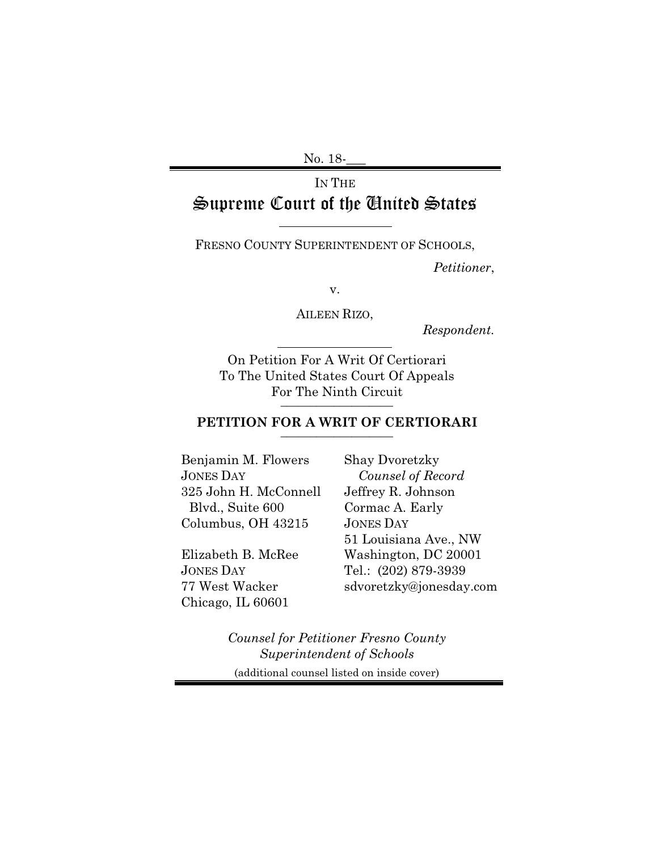No. 18-**\_\_\_**

# IN THE Supreme Court of the United States

FRESNO COUNTY SUPERINTENDENT OF SCHOOLS,

*Petitioner*,

v.

AILEEN RIZO,

*Respondent.*

On Petition For A Writ Of Certiorari To The United States Court Of Appeals For The Ninth Circuit **\_\_\_\_\_\_\_\_\_\_\_\_\_\_\_\_\_\_\_** 

### **PETITION FOR A WRIT OF CERTIORARI \_\_\_\_\_\_\_\_\_\_\_\_\_\_\_\_\_\_\_**

Benjamin M. Flowers JONES DAY 325 John H. McConnell Blvd., Suite 600 Columbus, OH 43215

Elizabeth B. McRee JONES DAY 77 West Wacker Chicago, IL 60601

Shay Dvoretzky *Counsel of Record* Jeffrey R. Johnson Cormac A. Early JONES DAY 51 Louisiana Ave., NW Washington, DC 20001 Tel.: (202) 879-3939 sdvoretzky@jonesday.com

*Counsel for Petitioner Fresno County Superintendent of Schools* (additional counsel listed on inside cover)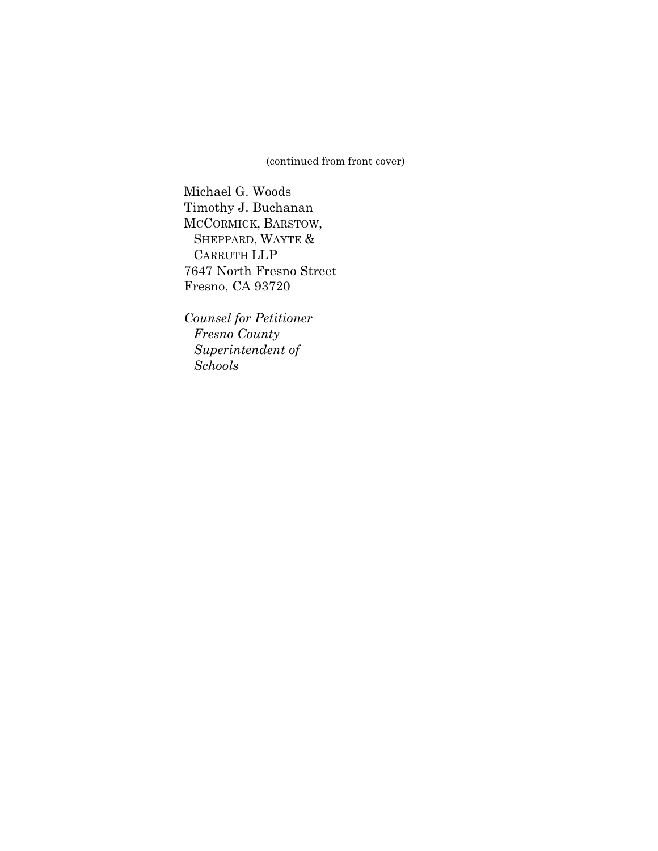(continued from front cover)

Michael G. Woods Timothy J. Buchanan MCCORMICK, BARSTOW, SHEPPARD, WAYTE & CARRUTH LLP 7647 North Fresno Street Fresno, CA 93720

*Counsel for Petitioner Fresno County Superintendent of Schools*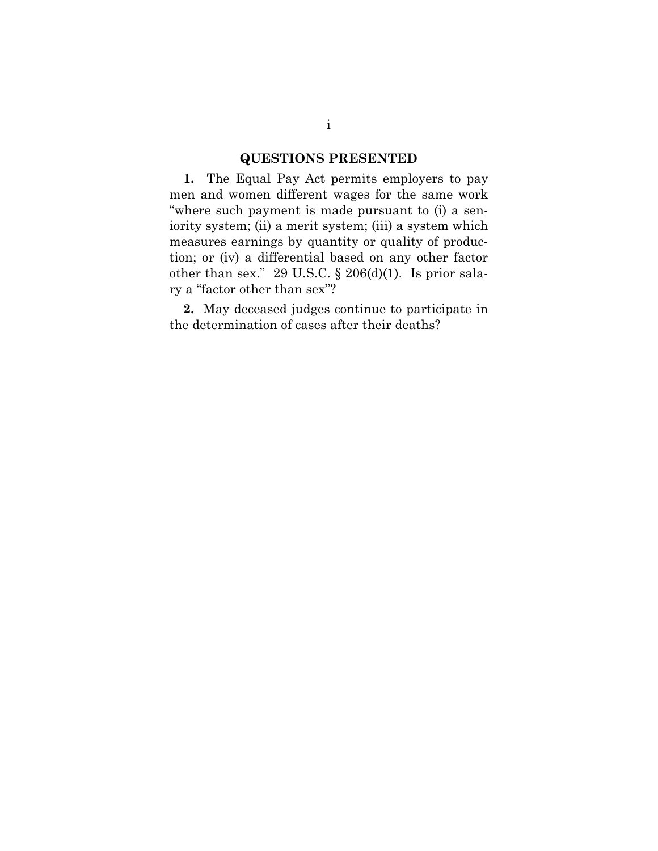# **QUESTIONS PRESENTED**

**1.** The Equal Pay Act permits employers to pay men and women different wages for the same work "where such payment is made pursuant to (i) a seniority system; (ii) a merit system; (iii) a system which measures earnings by quantity or quality of production; or (iv) a differential based on any other factor other than sex." 29 U.S.C.  $\S 206(d)(1)$ . Is prior salary a "factor other than sex"?

**2.** May deceased judges continue to participate in the determination of cases after their deaths?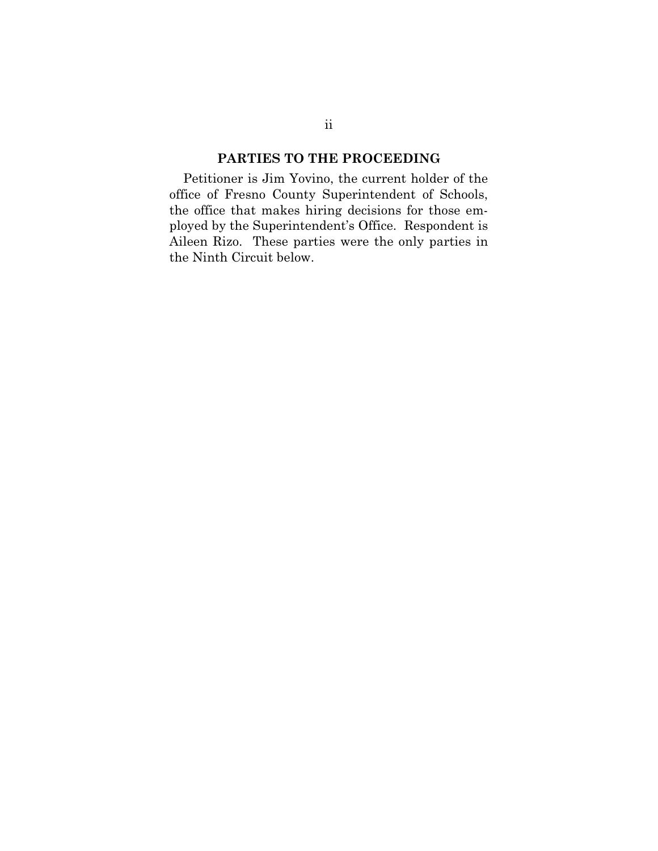# **PARTIES TO THE PROCEEDING**

Petitioner is Jim Yovino, the current holder of the office of Fresno County Superintendent of Schools, the office that makes hiring decisions for those employed by the Superintendent's Office. Respondent is Aileen Rizo. These parties were the only parties in the Ninth Circuit below.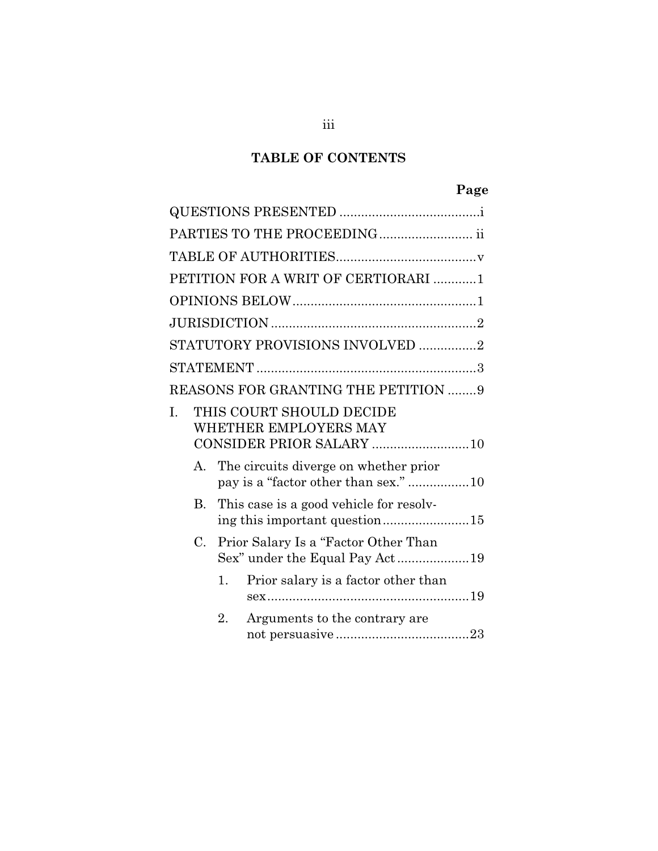# **TABLE OF CONTENTS**

# **Page**

|                      | PARTIES TO THE PROCEEDING ii                                                  |
|----------------------|-------------------------------------------------------------------------------|
|                      |                                                                               |
|                      | PETITION FOR A WRIT OF CERTIORARI 1                                           |
|                      |                                                                               |
|                      |                                                                               |
|                      | STATUTORY PROVISIONS INVOLVED 2                                               |
|                      |                                                                               |
|                      | REASONS FOR GRANTING THE PETITION 9                                           |
| I.                   | THIS COURT SHOULD DECIDE<br>WHETHER EMPLOYERS MAY<br>CONSIDER PRIOR SALARY 10 |
| $\mathbf{A}_{\cdot}$ | The circuits diverge on whether prior<br>pay is a "factor other than sex." 10 |
| В.                   | This case is a good vehicle for resolv-<br>ing this important question15      |
| C.                   | Prior Salary Is a "Factor Other Than                                          |
|                      | Prior salary is a factor other than<br>1.                                     |
|                      | 2.<br>Arguments to the contrary are                                           |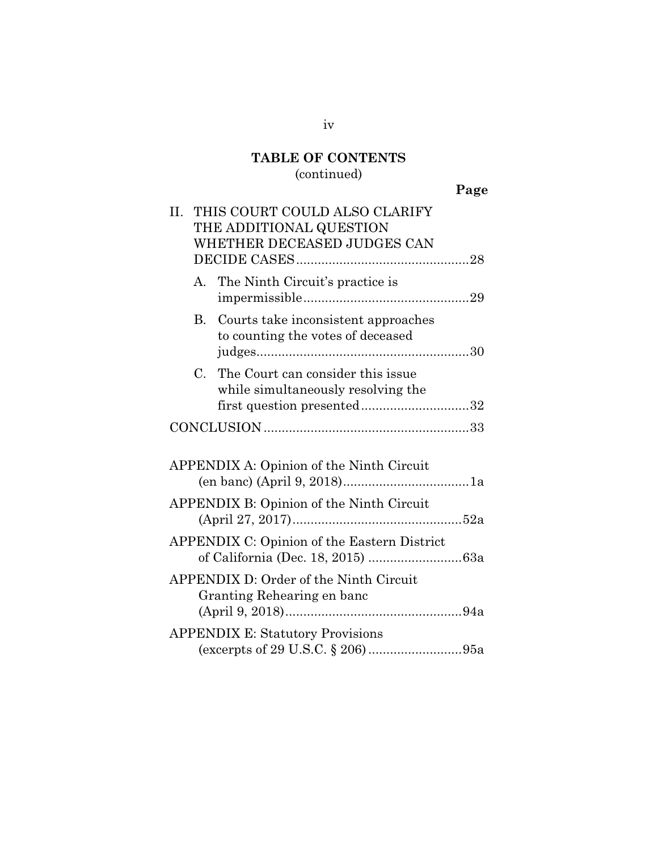# **TABLE OF CONTENTS** (continued)

| . .<br>۰. |
|-----------|
|-----------|

| II.                                      | THIS COURT COULD ALSO CLARIFY<br>THE ADDITIONAL QUESTION<br>WHETHER DECEASED JUDGES CAN                  |  |
|------------------------------------------|----------------------------------------------------------------------------------------------------------|--|
| А.                                       | The Ninth Circuit's practice is                                                                          |  |
| В.                                       | Courts take inconsistent approaches<br>to counting the votes of deceased                                 |  |
|                                          | C. The Court can consider this issue<br>while simultaneously resolving the<br>first question presented32 |  |
|                                          |                                                                                                          |  |
| APPENDIX A: Opinion of the Ninth Circuit |                                                                                                          |  |
| APPENDIX B: Opinion of the Ninth Circuit |                                                                                                          |  |
|                                          | APPENDIX C: Opinion of the Eastern District                                                              |  |
|                                          | APPENDIX D: Order of the Ninth Circuit<br>Granting Rehearing en banc                                     |  |
|                                          | <b>APPENDIX E: Statutory Provisions</b>                                                                  |  |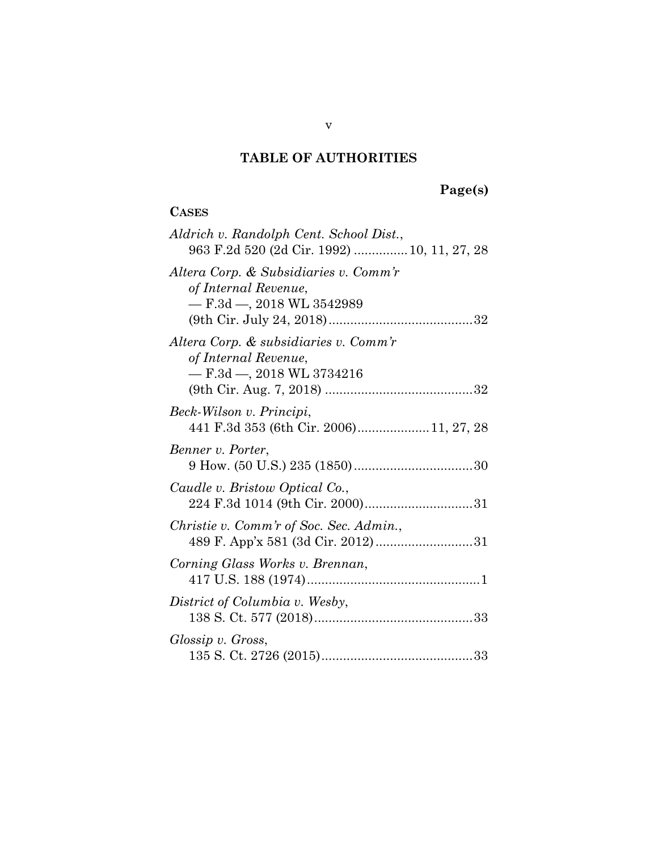# **TABLE OF AUTHORITIES**

# **Page(s)**

# **CASES**

| Aldrich v. Randolph Cent. School Dist.,<br>963 F.2d 520 (2d Cir. 1992)  10, 11, 27, 28          |
|-------------------------------------------------------------------------------------------------|
| Altera Corp. & Subsidiaries v. Comm'r<br>of Internal Revenue,<br>$-$ F.3d $-$ , 2018 WL 3542989 |
| Altera Corp. & subsidiaries v. Comm'r<br>of Internal Revenue,<br>$-$ F.3d $-$ , 2018 WL 3734216 |
| Beck-Wilson v. Principi,<br>441 F.3d 353 (6th Cir. 2006) 11, 27, 28                             |
| Benner v. Porter,                                                                               |
| Caudle v. Bristow Optical Co.,                                                                  |
| Christie v. Comm'r of Soc. Sec. Admin.,                                                         |
| Corning Glass Works v. Brennan,                                                                 |
| District of Columbia v. Wesby,                                                                  |
| Glossip v. Gross,                                                                               |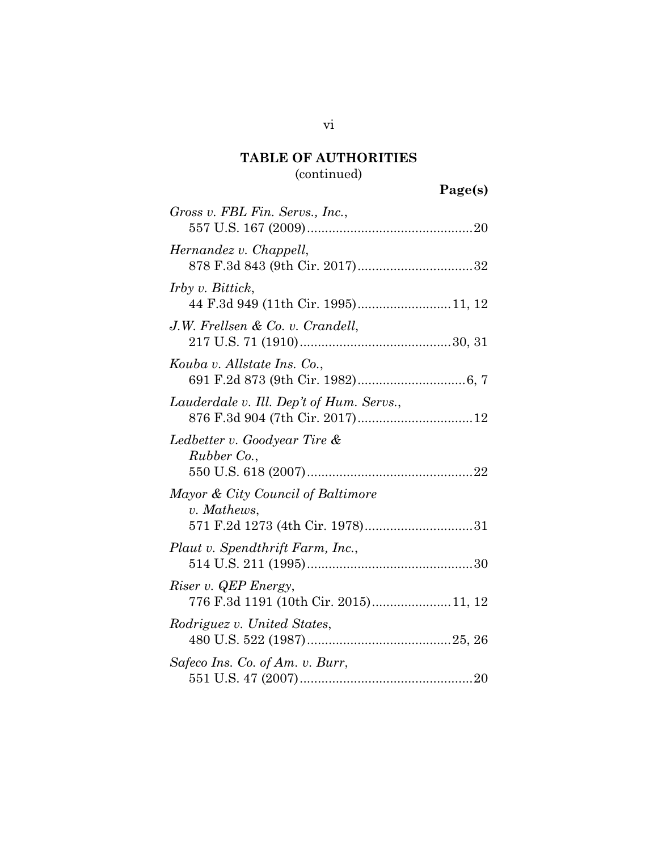# **TABLE OF AUTHORITIES**

# (continued)

**Page(s)**

| Gross v. FBL Fin. Servs., Inc.,                                                     |
|-------------------------------------------------------------------------------------|
| Hernandez v. Chappell,                                                              |
| <i>Irby v. Bittick,</i><br>44 F.3d 949 (11th Cir. 1995)11, 12                       |
| J.W. Frellsen & Co. v. Crandell,                                                    |
| Kouba v. Allstate Ins. Co.,                                                         |
| Lauderdale v. Ill. Dep't of Hum. Servs.,                                            |
| Ledbetter v. Goodyear Tire &<br>Rubber Co.,                                         |
| Mayor & City Council of Baltimore<br>v. Mathews,<br>571 F.2d 1273 (4th Cir. 1978)31 |
| Plaut v. Spendthrift Farm, Inc.,                                                    |
| Riser v. QEP Energy,<br>776 F.3d 1191 (10th Cir. 2015)11, 12                        |
| Rodriguez v. United States,                                                         |
| Safeco Ins. Co. of Am. v. Burr,                                                     |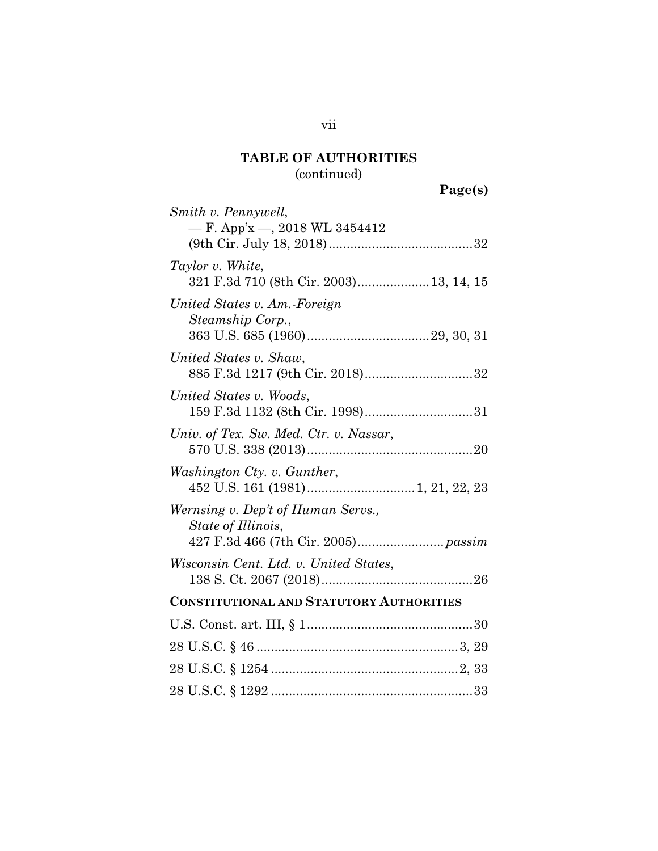# **TABLE OF AUTHORITIES** (continued)

**Page(s)**

| Smith v. Pennywell,                             |
|-------------------------------------------------|
| — F. App'x —, 2018 WL 3454412                   |
|                                                 |
| Taylor v. White,                                |
| 321 F.3d 710 (8th Cir. 2003) 13, 14, 15         |
| United States v. Am.-Foreign                    |
| Steamship Corp.,                                |
|                                                 |
| United States v. Shaw,                          |
| 885 F.3d 1217 (9th Cir. 2018)32                 |
| United States v. Woods,                         |
| 159 F.3d 1132 (8th Cir. 1998)31                 |
| Univ. of Tex. Sw. Med. Ctr. v. Nassar,          |
|                                                 |
| Washington Cty. v. Gunther,                     |
|                                                 |
| Wernsing v. Dep't of Human Servs.,              |
| State of Illinois,                              |
|                                                 |
| Wisconsin Cent. Ltd. v. United States,          |
|                                                 |
| <b>CONSTITUTIONAL AND STATUTORY AUTHORITIES</b> |
|                                                 |
|                                                 |
|                                                 |
|                                                 |
|                                                 |

vii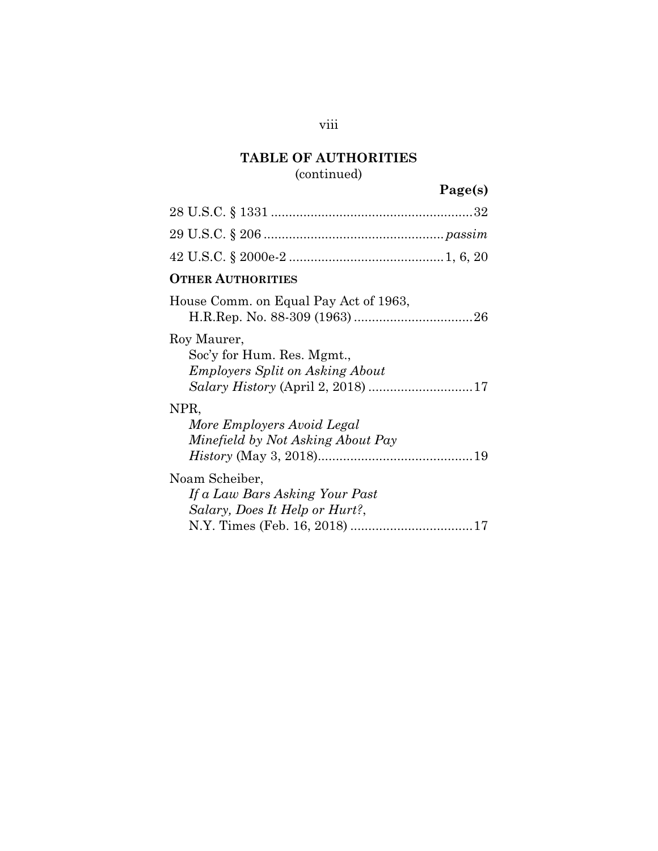# **TABLE OF AUTHORITIES**

# (continued)

# **Page(s)**

| <b>OTHER AUTHORITIES</b>                                                            |
|-------------------------------------------------------------------------------------|
| House Comm. on Equal Pay Act of 1963,                                               |
| Roy Maurer,<br>Soc'y for Hum. Res. Mgmt.,<br><b>Employers Split on Asking About</b> |
| NPR,<br>More Employers Avoid Legal<br>Minefield by Not Asking About Pay             |
| Noam Scheiber,<br>If a Law Bars Asking Your Past<br>Salary, Does It Help or Hurt?,  |

viii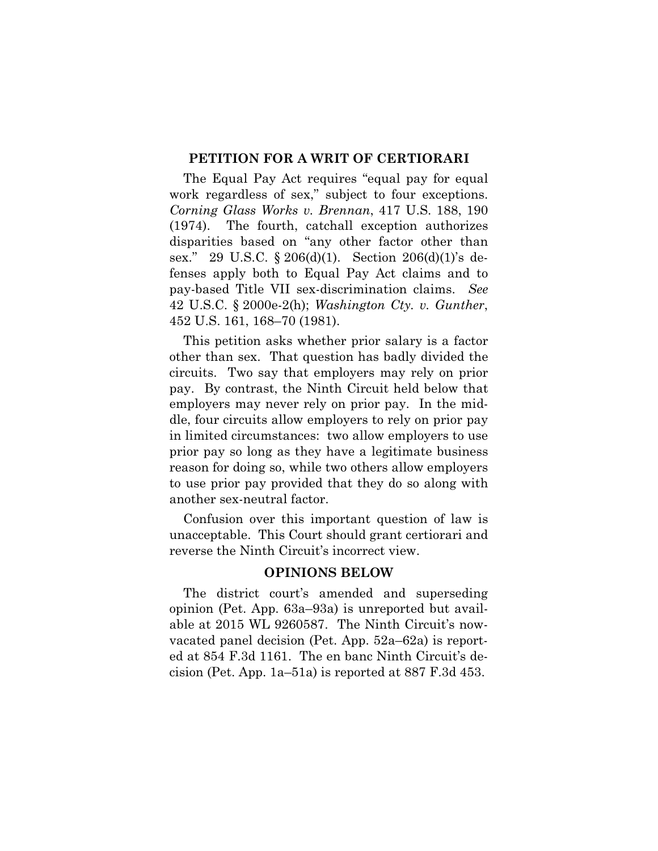#### **PETITION FOR A WRIT OF CERTIORARI**

<span id="page-10-2"></span><span id="page-10-0"></span>The Equal Pay Act requires "equal pay for equal work regardless of sex," subject to four exceptions. *Corning Glass Works v. Brennan*, 417 U.S. 188, 190 (1974). The fourth, catchall exception authorizes disparities based on "any other factor other than sex." 29 U.S.C.  $\S 206(d)(1)$ . Section 206(d)(1)'s defenses apply both to Equal Pay Act claims and to pay-based Title VII sex-discrimination claims. *See*  42 U.S.C. § 2000e-2(h); *Washington Cty. v. Gunther*, 452 U.S. 161, 168–70 (1981).

<span id="page-10-3"></span><span id="page-10-1"></span>This petition asks whether prior salary is a factor other than sex. That question has badly divided the circuits. Two say that employers may rely on prior pay. By contrast, the Ninth Circuit held below that employers may never rely on prior pay. In the middle, four circuits allow employers to rely on prior pay in limited circumstances: two allow employers to use prior pay so long as they have a legitimate business reason for doing so, while two others allow employers to use prior pay provided that they do so along with another sex-neutral factor.

Confusion over this important question of law is unacceptable. This Court should grant certiorari and reverse the Ninth Circuit's incorrect view.

#### **OPINIONS BELOW**

The district court's amended and superseding opinion (Pet. App. 63a–93a) is unreported but available at 2015 WL 9260587. The Ninth Circuit's nowvacated panel decision (Pet. App. 52a–62a) is reported at 854 F.3d 1161. The en banc Ninth Circuit's decision (Pet. App. 1a–51a) is reported at 887 F.3d 453.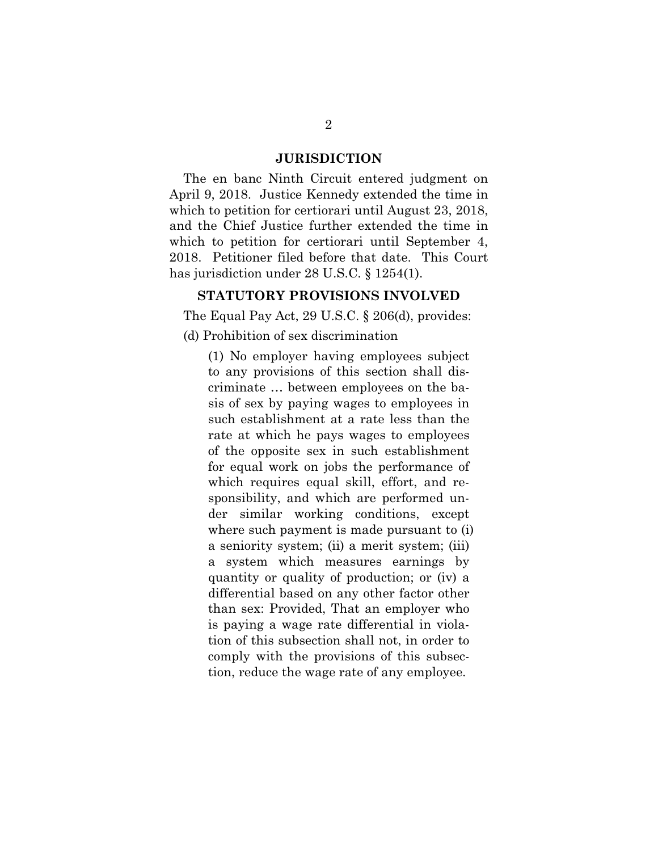#### **JURISDICTION**

The en banc Ninth Circuit entered judgment on April 9, 2018. Justice Kennedy extended the time in which to petition for certiorari until August 23, 2018, and the Chief Justice further extended the time in which to petition for certiorari until September 4, 2018. Petitioner filed before that date. This Court has jurisdiction under 28 U.S.C. § 1254(1).

## <span id="page-11-0"></span>**STATUTORY PROVISIONS INVOLVED**

The Equal Pay Act, 29 U.S.C. § 206(d), provides:

(d) Prohibition of sex discrimination

(1) No employer having employees subject to any provisions of this section shall discriminate … between employees on the basis of sex by paying wages to employees in such establishment at a rate less than the rate at which he pays wages to employees of the opposite sex in such establishment for equal work on jobs the performance of which requires equal skill, effort, and responsibility, and which are performed under similar working conditions, except where such payment is made pursuant to (i) a seniority system; (ii) a merit system; (iii) a system which measures earnings by quantity or quality of production; or (iv) a differential based on any other factor other than sex: Provided, That an employer who is paying a wage rate differential in violation of this subsection shall not, in order to comply with the provisions of this subsection, reduce the wage rate of any employee.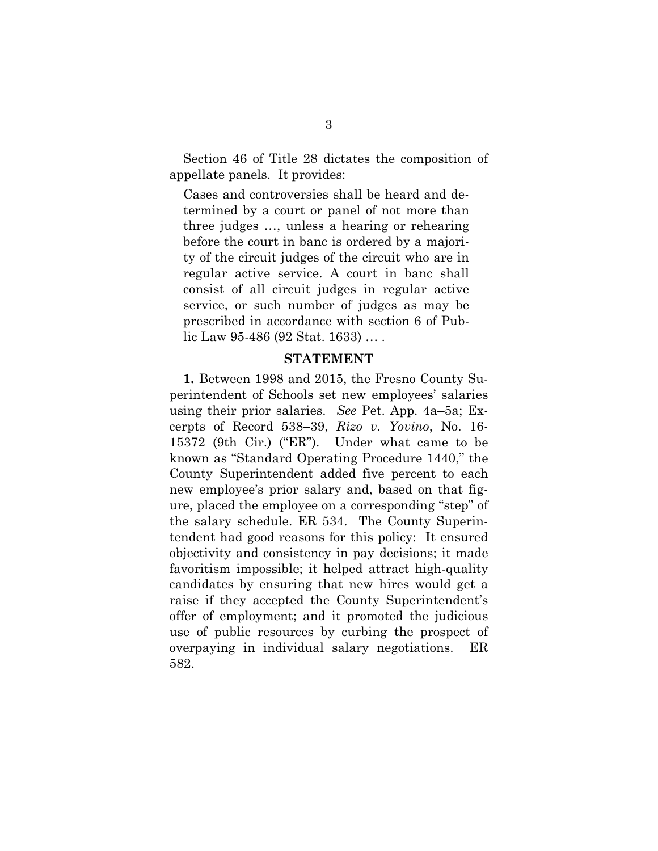<span id="page-12-0"></span>Section 46 of Title 28 dictates the composition of appellate panels. It provides:

Cases and controversies shall be heard and determined by a court or panel of not more than three judges …, unless a hearing or rehearing before the court in banc is ordered by a majority of the circuit judges of the circuit who are in regular active service. A court in banc shall consist of all circuit judges in regular active service, or such number of judges as may be prescribed in accordance with section 6 of Public Law 95-486 (92 Stat. 1633) … .

#### **STATEMENT**

**1.** Between 1998 and 2015, the Fresno County Superintendent of Schools set new employees' salaries using their prior salaries. *See* Pet. App. 4a–5a; Excerpts of Record 538–39, *Rizo v. Yovino*, No. 16- 15372 (9th Cir.) ("ER"). Under what came to be known as "Standard Operating Procedure 1440," the County Superintendent added five percent to each new employee's prior salary and, based on that figure, placed the employee on a corresponding "step" of the salary schedule. ER 534. The County Superintendent had good reasons for this policy: It ensured objectivity and consistency in pay decisions; it made favoritism impossible; it helped attract high-quality candidates by ensuring that new hires would get a raise if they accepted the County Superintendent's offer of employment; and it promoted the judicious use of public resources by curbing the prospect of overpaying in individual salary negotiations. ER 582.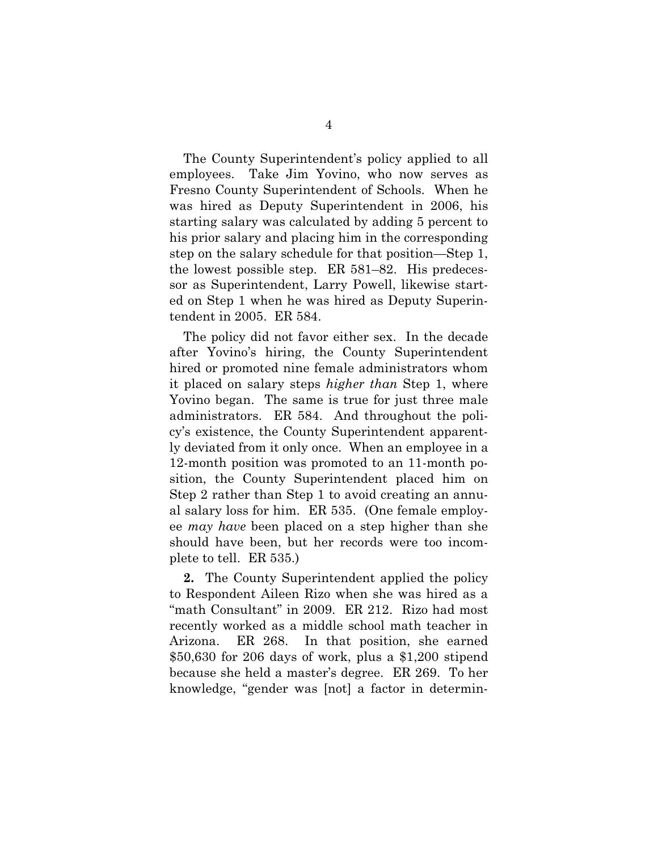The County Superintendent's policy applied to all employees. Take Jim Yovino, who now serves as Fresno County Superintendent of Schools. When he was hired as Deputy Superintendent in 2006, his starting salary was calculated by adding 5 percent to his prior salary and placing him in the corresponding step on the salary schedule for that position—Step 1, the lowest possible step. ER 581–82. His predecessor as Superintendent, Larry Powell, likewise started on Step 1 when he was hired as Deputy Superintendent in 2005. ER 584.

The policy did not favor either sex. In the decade after Yovino's hiring, the County Superintendent hired or promoted nine female administrators whom it placed on salary steps *higher than* Step 1, where Yovino began. The same is true for just three male administrators. ER 584. And throughout the policy's existence, the County Superintendent apparently deviated from it only once. When an employee in a 12-month position was promoted to an 11-month position, the County Superintendent placed him on Step 2 rather than Step 1 to avoid creating an annual salary loss for him. ER 535. (One female employee *may have* been placed on a step higher than she should have been, but her records were too incomplete to tell. ER 535.)

**2.** The County Superintendent applied the policy to Respondent Aileen Rizo when she was hired as a "math Consultant" in 2009. ER 212. Rizo had most recently worked as a middle school math teacher in Arizona. ER 268. In that position, she earned \$50,630 for 206 days of work, plus a \$1,200 stipend because she held a master's degree. ER 269. To her knowledge, "gender was [not] a factor in determin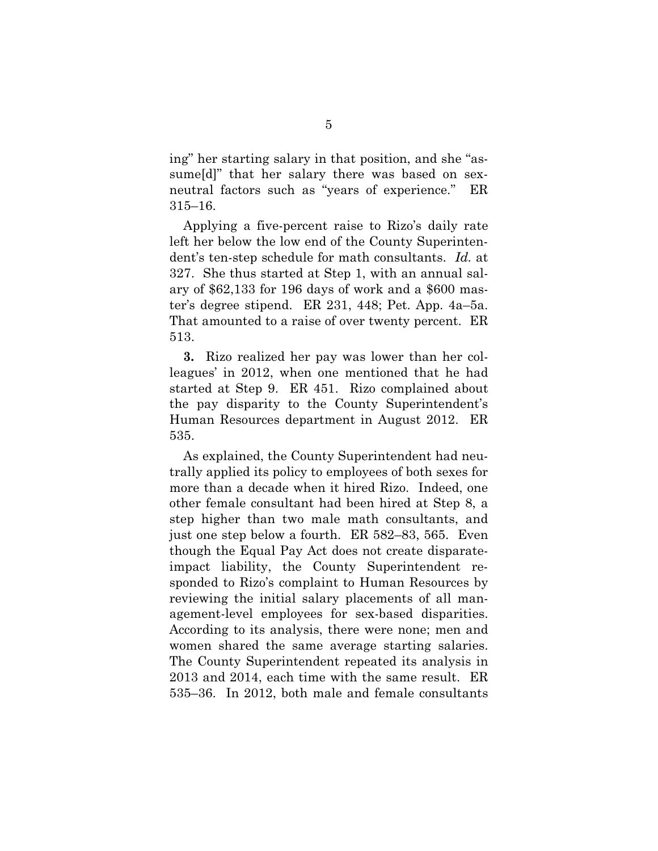ing" her starting salary in that position, and she "assume[d]" that her salary there was based on sexneutral factors such as "years of experience." ER 315–16.

Applying a five-percent raise to Rizo's daily rate left her below the low end of the County Superintendent's ten-step schedule for math consultants. *Id.* at 327. She thus started at Step 1, with an annual salary of \$62,133 for 196 days of work and a \$600 master's degree stipend. ER 231, 448; Pet. App. 4a–5a. That amounted to a raise of over twenty percent. ER 513.

**3.** Rizo realized her pay was lower than her colleagues' in 2012, when one mentioned that he had started at Step 9. ER 451. Rizo complained about the pay disparity to the County Superintendent's Human Resources department in August 2012. ER 535.

As explained, the County Superintendent had neutrally applied its policy to employees of both sexes for more than a decade when it hired Rizo. Indeed, one other female consultant had been hired at Step 8, a step higher than two male math consultants, and just one step below a fourth. ER 582–83, 565. Even though the Equal Pay Act does not create disparateimpact liability, the County Superintendent responded to Rizo's complaint to Human Resources by reviewing the initial salary placements of all management-level employees for sex-based disparities. According to its analysis, there were none; men and women shared the same average starting salaries. The County Superintendent repeated its analysis in 2013 and 2014, each time with the same result. ER 535–36. In 2012, both male and female consultants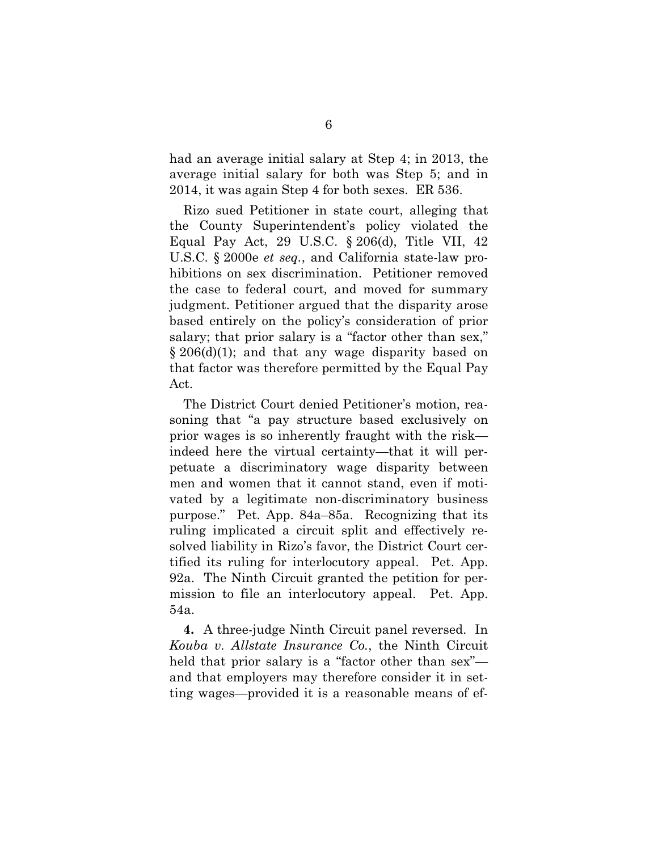had an average initial salary at Step 4; in 2013, the average initial salary for both was Step 5; and in 2014, it was again Step 4 for both sexes. ER 536.

Rizo sued Petitioner in state court, alleging that the County Superintendent's policy violated the Equal Pay Act, 29 U.S.C. § 206(d), Title VII, 42 U.S.C. § 2000e *et seq.*, and California state-law prohibitions on sex discrimination. Petitioner removed the case to federal court*,* and moved for summary judgment. Petitioner argued that the disparity arose based entirely on the policy's consideration of prior salary; that prior salary is a "factor other than sex," § 206(d)(1); and that any wage disparity based on that factor was therefore permitted by the Equal Pay Act.

The District Court denied Petitioner's motion, reasoning that "a pay structure based exclusively on prior wages is so inherently fraught with the risk indeed here the virtual certainty—that it will perpetuate a discriminatory wage disparity between men and women that it cannot stand, even if motivated by a legitimate non-discriminatory business purpose." Pet. App. 84a–85a. Recognizing that its ruling implicated a circuit split and effectively resolved liability in Rizo's favor, the District Court certified its ruling for interlocutory appeal. Pet. App. 92a. The Ninth Circuit granted the petition for permission to file an interlocutory appeal. Pet. App. 54a.

<span id="page-15-0"></span>**4.** A three-judge Ninth Circuit panel reversed. In *Kouba v. Allstate Insurance Co.*, the Ninth Circuit held that prior salary is a "factor other than sex" and that employers may therefore consider it in setting wages—provided it is a reasonable means of ef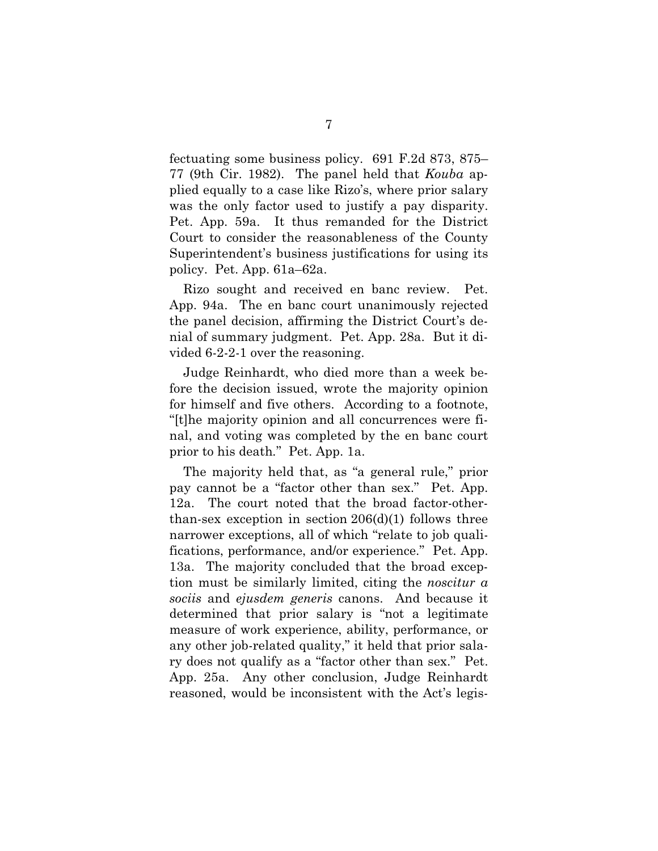fectuating some business policy. 691 F.2d 873, 875– 77 (9th Cir. 1982). The panel held that *Kouba* applied equally to a case like Rizo's, where prior salary was the only factor used to justify a pay disparity. Pet. App. 59a. It thus remanded for the District Court to consider the reasonableness of the County Superintendent's business justifications for using its policy. Pet. App. 61a–62a.

Rizo sought and received en banc review. Pet. App. 94a. The en banc court unanimously rejected the panel decision, affirming the District Court's denial of summary judgment. Pet. App. 28a. But it divided 6-2-2-1 over the reasoning.

Judge Reinhardt, who died more than a week before the decision issued, wrote the majority opinion for himself and five others. According to a footnote, "[t]he majority opinion and all concurrences were final, and voting was completed by the en banc court prior to his death*.*" Pet. App. 1a.

The majority held that, as "a general rule," prior pay cannot be a "factor other than sex." Pet. App. 12a. The court noted that the broad factor-otherthan-sex exception in section  $206(d)(1)$  follows three narrower exceptions, all of which "relate to job qualifications, performance, and/or experience." Pet. App. 13a.The majority concluded that the broad exception must be similarly limited, citing the *noscitur a sociis* and *ejusdem generis* canons. And because it determined that prior salary is "not a legitimate measure of work experience, ability, performance, or any other job-related quality," it held that prior salary does not qualify as a "factor other than sex." Pet. App. 25a. Any other conclusion, Judge Reinhardt reasoned, would be inconsistent with the Act's legis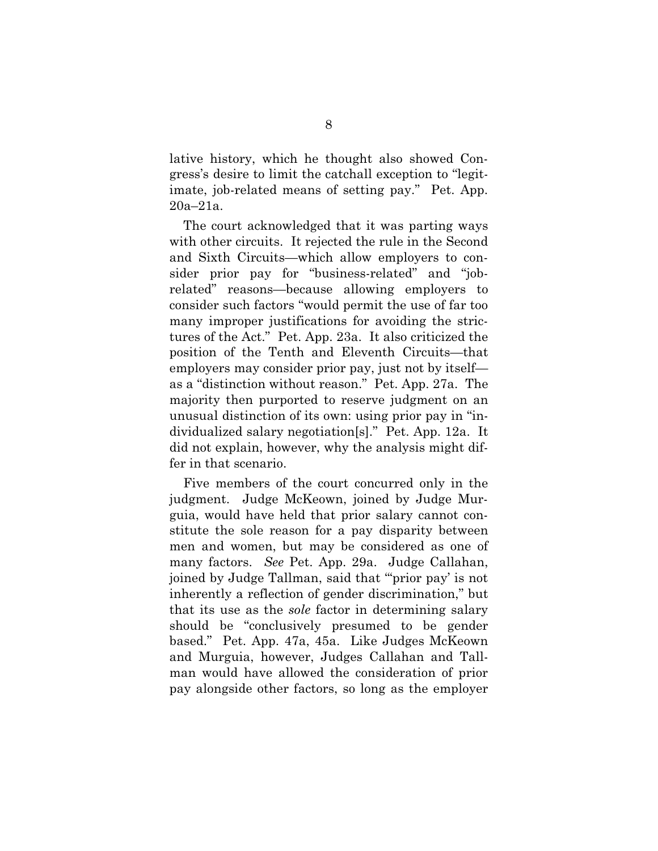lative history, which he thought also showed Congress's desire to limit the catchall exception to "legitimate, job-related means of setting pay." Pet. App. 20a–21a.

The court acknowledged that it was parting ways with other circuits. It rejected the rule in the Second and Sixth Circuits—which allow employers to consider prior pay for "business-related" and "jobrelated" reasons—because allowing employers to consider such factors "would permit the use of far too many improper justifications for avoiding the strictures of the Act." Pet. App. 23a. It also criticized the position of the Tenth and Eleventh Circuits—that employers may consider prior pay, just not by itself as a "distinction without reason." Pet. App. 27a. The majority then purported to reserve judgment on an unusual distinction of its own: using prior pay in "individualized salary negotiation[s]." Pet. App. 12a. It did not explain, however, why the analysis might differ in that scenario.

Five members of the court concurred only in the judgment. Judge McKeown, joined by Judge Murguia, would have held that prior salary cannot constitute the sole reason for a pay disparity between men and women, but may be considered as one of many factors. *See* Pet. App. 29a. Judge Callahan, joined by Judge Tallman, said that "'prior pay' is not inherently a reflection of gender discrimination," but that its use as the *sole* factor in determining salary should be "conclusively presumed to be gender based." Pet. App. 47a, 45a. Like Judges McKeown and Murguia, however, Judges Callahan and Tallman would have allowed the consideration of prior pay alongside other factors, so long as the employer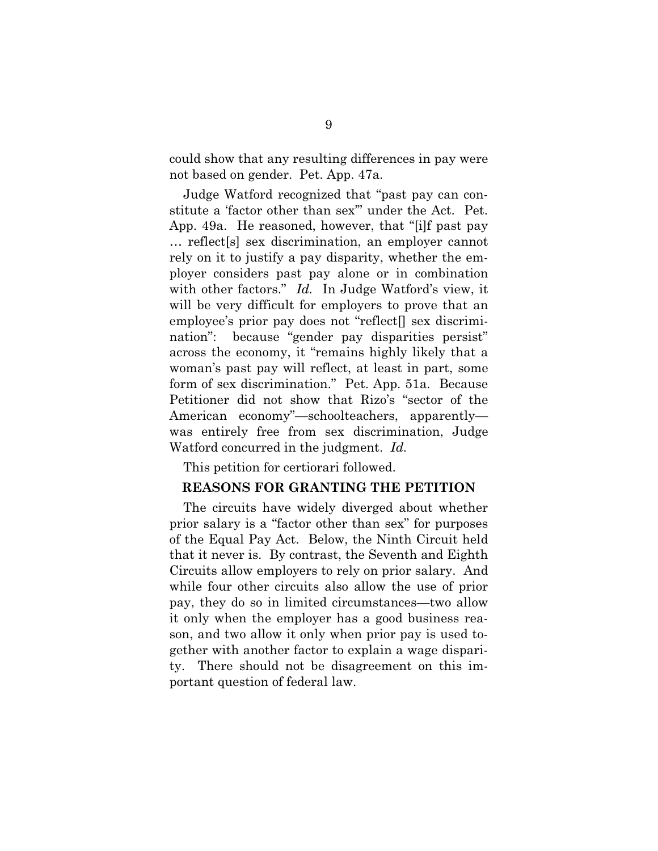could show that any resulting differences in pay were not based on gender. Pet. App. 47a.

Judge Watford recognized that "past pay can constitute a 'factor other than sex'" under the Act. Pet. App. 49a. He reasoned, however, that "[i]f past pay … reflect[s] sex discrimination, an employer cannot rely on it to justify a pay disparity, whether the employer considers past pay alone or in combination with other factors." *Id.* In Judge Watford's view, it will be very difficult for employers to prove that an employee's prior pay does not "reflect[] sex discrimination": because "gender pay disparities persist" across the economy, it "remains highly likely that a woman's past pay will reflect, at least in part, some form of sex discrimination." Pet. App. 51a. Because Petitioner did not show that Rizo's "sector of the American economy"—schoolteachers, apparently was entirely free from sex discrimination, Judge Watford concurred in the judgment. *Id.*

This petition for certiorari followed.

### **REASONS FOR GRANTING THE PETITION**

The circuits have widely diverged about whether prior salary is a "factor other than sex" for purposes of the Equal Pay Act. Below, the Ninth Circuit held that it never is. By contrast, the Seventh and Eighth Circuits allow employers to rely on prior salary. And while four other circuits also allow the use of prior pay, they do so in limited circumstances—two allow it only when the employer has a good business reason, and two allow it only when prior pay is used together with another factor to explain a wage disparity. There should not be disagreement on this important question of federal law.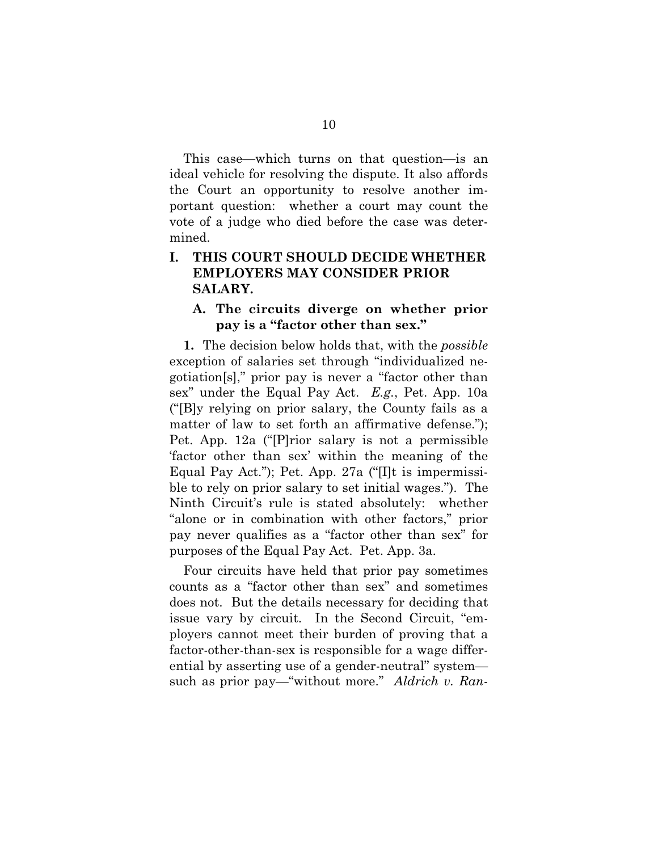This case—which turns on that question—is an ideal vehicle for resolving the dispute. It also affords the Court an opportunity to resolve another important question: whether a court may count the vote of a judge who died before the case was determined.

# **I. THIS COURT SHOULD DECIDE WHETHER EMPLOYERS MAY CONSIDER PRIOR SALARY.**

### **A. The circuits diverge on whether prior pay is a "factor other than sex."**

**1.** The decision below holds that, with the *possible*  exception of salaries set through "individualized negotiation[s]," prior pay is never a "factor other than sex" under the Equal Pay Act. *E.g.*, Pet. App. 10a ("[B]y relying on prior salary, the County fails as a matter of law to set forth an affirmative defense."); Pet. App. 12a ("[P]rior salary is not a permissible 'factor other than sex' within the meaning of the Equal Pay Act."); Pet. App. 27a ("[I]t is impermissible to rely on prior salary to set initial wages."). The Ninth Circuit's rule is stated absolutely: whether "alone or in combination with other factors," prior pay never qualifies as a "factor other than sex" for purposes of the Equal Pay Act. Pet. App. 3a.

<span id="page-19-0"></span>Four circuits have held that prior pay sometimes counts as a "factor other than sex" and sometimes does not. But the details necessary for deciding that issue vary by circuit. In the Second Circuit, "employers cannot meet their burden of proving that a factor-other-than-sex is responsible for a wage differential by asserting use of a gender-neutral" system such as prior pay—"without more." *Aldrich v. Ran-*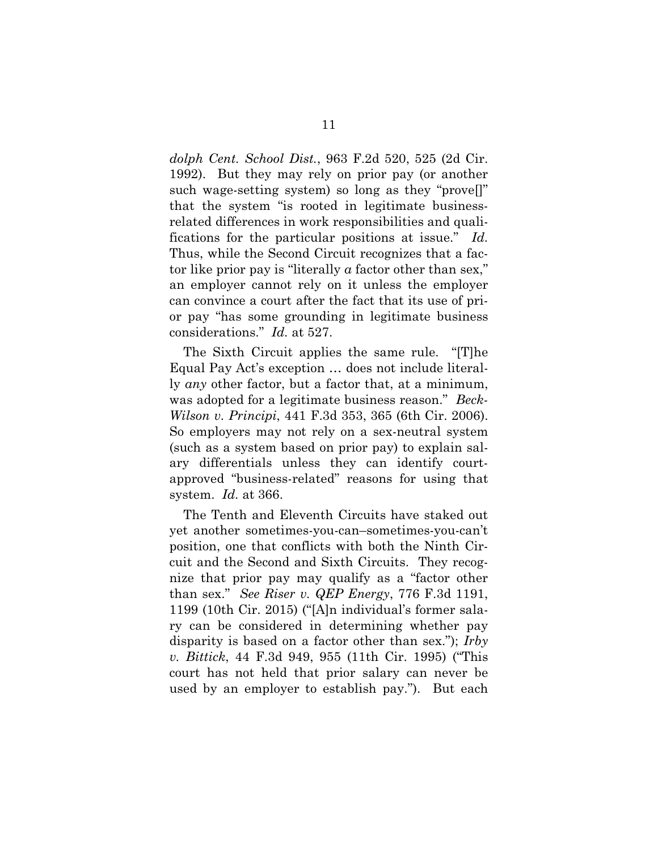<span id="page-20-0"></span>*dolph Cent. School Dist.*, 963 F.2d 520, 525 (2d Cir. 1992). But they may rely on prior pay (or another such wage-setting system) so long as they "prove[]" that the system "is rooted in legitimate businessrelated differences in work responsibilities and qualifications for the particular positions at issue." *Id.* Thus, while the Second Circuit recognizes that a factor like prior pay is "literally *a* factor other than sex," an employer cannot rely on it unless the employer can convince a court after the fact that its use of prior pay "has some grounding in legitimate business considerations." *Id.* at 527.

<span id="page-20-1"></span>The Sixth Circuit applies the same rule. "[T]he Equal Pay Act's exception … does not include literally *any* other factor, but a factor that, at a minimum, was adopted for a legitimate business reason." *Beck-Wilson v. Principi*, 441 F.3d 353, 365 (6th Cir. 2006). So employers may not rely on a sex-neutral system (such as a system based on prior pay) to explain salary differentials unless they can identify courtapproved "business-related" reasons for using that system. *Id.* at 366.

<span id="page-20-3"></span><span id="page-20-2"></span>The Tenth and Eleventh Circuits have staked out yet another sometimes-you-can–sometimes-you-can't position, one that conflicts with both the Ninth Circuit and the Second and Sixth Circuits. They recognize that prior pay may qualify as a "factor other than sex." *See Riser v. QEP Energy*, 776 F.3d 1191, 1199 (10th Cir. 2015) ("[A]n individual's former salary can be considered in determining whether pay disparity is based on a factor other than sex."); *Irby v. Bittick*, 44 F.3d 949, 955 (11th Cir. 1995) ("This court has not held that prior salary can never be used by an employer to establish pay."). But each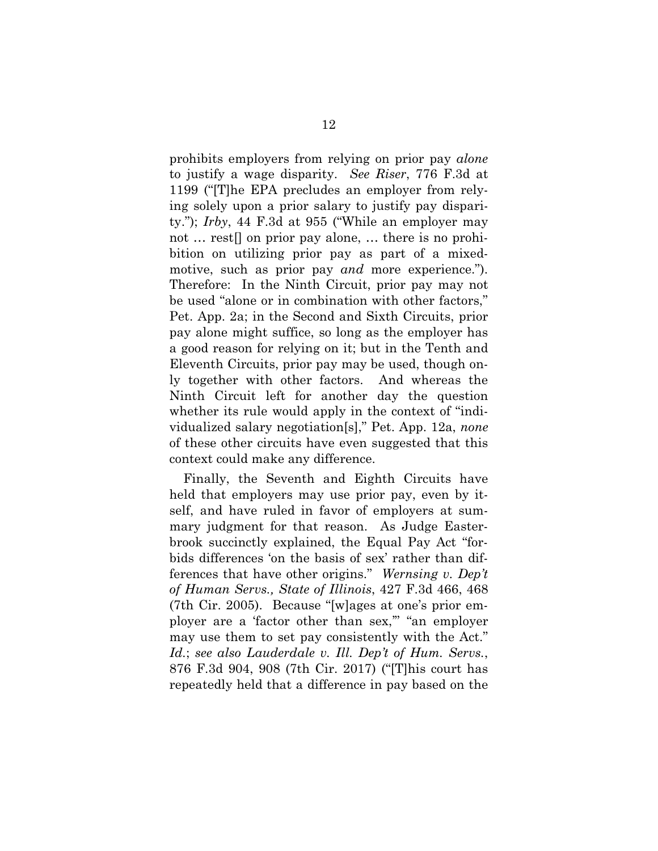<span id="page-21-2"></span><span id="page-21-0"></span>prohibits employers from relying on prior pay *alone* to justify a wage disparity. *See Riser*, 776 F.3d at 1199 ("[T]he EPA precludes an employer from relying solely upon a prior salary to justify pay disparity."); *Irby*, 44 F.3d at 955 ("While an employer may not ... rest<sup>[]</sup> on prior pay alone, ... there is no prohibition on utilizing prior pay as part of a mixedmotive, such as prior pay *and* more experience."). Therefore: In the Ninth Circuit, prior pay may not be used "alone or in combination with other factors," Pet. App. 2a; in the Second and Sixth Circuits, prior pay alone might suffice, so long as the employer has a good reason for relying on it; but in the Tenth and Eleventh Circuits, prior pay may be used, though only together with other factors. And whereas the Ninth Circuit left for another day the question whether its rule would apply in the context of "individualized salary negotiation[s]," Pet. App. 12a, *none*  of these other circuits have even suggested that this context could make any difference.

<span id="page-21-3"></span><span id="page-21-1"></span>Finally, the Seventh and Eighth Circuits have held that employers may use prior pay, even by itself, and have ruled in favor of employers at summary judgment for that reason. As Judge Easterbrook succinctly explained, the Equal Pay Act "forbids differences 'on the basis of sex' rather than differences that have other origins." *Wernsing v. Dep't of Human Servs., State of Illinois*, 427 F.3d 466, 468 (7th Cir. 2005). Because "[w]ages at one's prior employer are a 'factor other than sex,'" "an employer may use them to set pay consistently with the Act." *Id.*; *see also Lauderdale v. Ill. Dep't of Hum. Servs.*, 876 F.3d 904, 908 (7th Cir. 2017) ("[T]his court has repeatedly held that a difference in pay based on the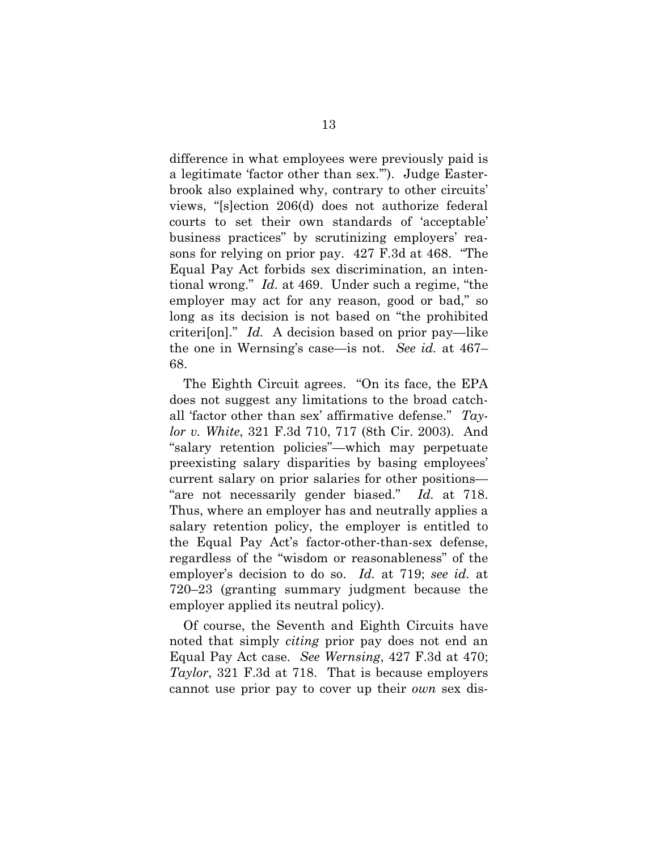difference in what employees were previously paid is a legitimate 'factor other than sex.'"). Judge Easterbrook also explained why, contrary to other circuits' views, "[s]ection 206(d) does not authorize federal courts to set their own standards of 'acceptable' business practices" by scrutinizing employers' reasons for relying on prior pay. 427 F.3d at 468. "The Equal Pay Act forbids sex discrimination, an intentional wrong." *Id.* at 469. Under such a regime, "the employer may act for any reason, good or bad," so long as its decision is not based on "the prohibited criteri[on]." *Id.* A decision based on prior pay—like the one in Wernsing's case—is not. *See id.* at 467– 68.

<span id="page-22-0"></span>The Eighth Circuit agrees. "On its face, the EPA does not suggest any limitations to the broad catchall 'factor other than sex' affirmative defense." *Taylor v. White*, 321 F.3d 710, 717 (8th Cir. 2003). And "salary retention policies"—which may perpetuate preexisting salary disparities by basing employees' current salary on prior salaries for other positions— "are not necessarily gender biased." *Id.* at 718. Thus, where an employer has and neutrally applies a salary retention policy, the employer is entitled to the Equal Pay Act's factor-other-than-sex defense, regardless of the "wisdom or reasonableness" of the employer's decision to do so. *Id.* at 719; *see id.* at 720–23 (granting summary judgment because the employer applied its neutral policy).

Of course, the Seventh and Eighth Circuits have noted that simply *citing* prior pay does not end an Equal Pay Act case. *See Wernsing*, 427 F.3d at 470; *Taylor*, 321 F.3d at 718. That is because employers cannot use prior pay to cover up their *own* sex dis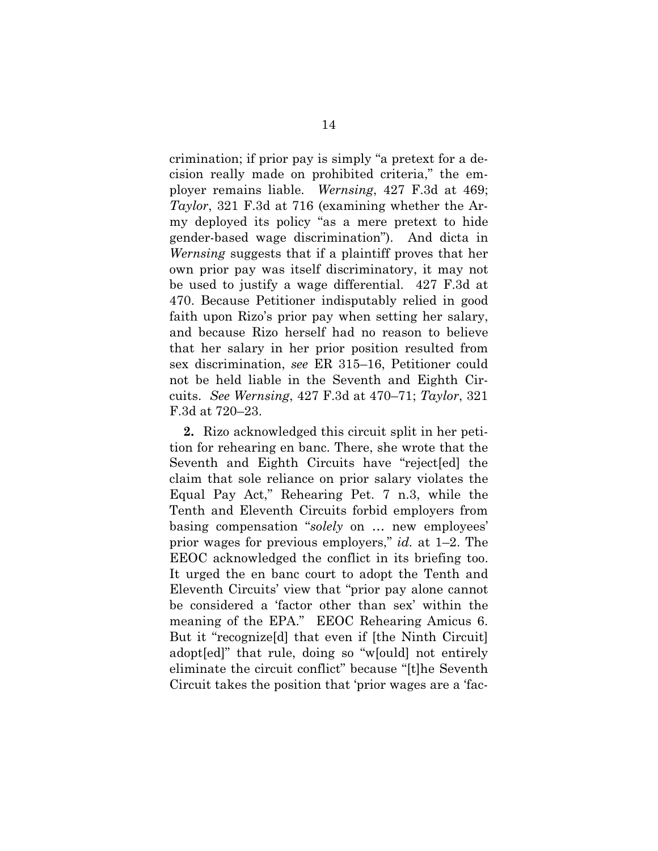<span id="page-23-0"></span>crimination; if prior pay is simply "a pretext for a decision really made on prohibited criteria," the employer remains liable. *Wernsing*, 427 F.3d at 469; *Taylor*, 321 F.3d at 716 (examining whether the Army deployed its policy "as a mere pretext to hide gender-based wage discrimination"). And dicta in *Wernsing* suggests that if a plaintiff proves that her own prior pay was itself discriminatory, it may not be used to justify a wage differential. 427 F.3d at 470. Because Petitioner indisputably relied in good faith upon Rizo's prior pay when setting her salary, and because Rizo herself had no reason to believe that her salary in her prior position resulted from sex discrimination, *see* ER 315–16, Petitioner could not be held liable in the Seventh and Eighth Circuits. *See Wernsing*, 427 F.3d at 470–71; *Taylor*, 321 F.3d at 720–23.

**2.** Rizo acknowledged this circuit split in her petition for rehearing en banc. There, she wrote that the Seventh and Eighth Circuits have "reject[ed] the claim that sole reliance on prior salary violates the Equal Pay Act," Rehearing Pet. 7 n.3, while the Tenth and Eleventh Circuits forbid employers from basing compensation "*solely* on … new employees' prior wages for previous employers," *id.* at 1–2. The EEOC acknowledged the conflict in its briefing too. It urged the en banc court to adopt the Tenth and Eleventh Circuits' view that "prior pay alone cannot be considered a 'factor other than sex' within the meaning of the EPA." EEOC Rehearing Amicus 6. But it "recognize[d] that even if [the Ninth Circuit] adopt[ed]" that rule, doing so "w[ould] not entirely eliminate the circuit conflict" because "[t]he Seventh Circuit takes the position that 'prior wages are a 'fac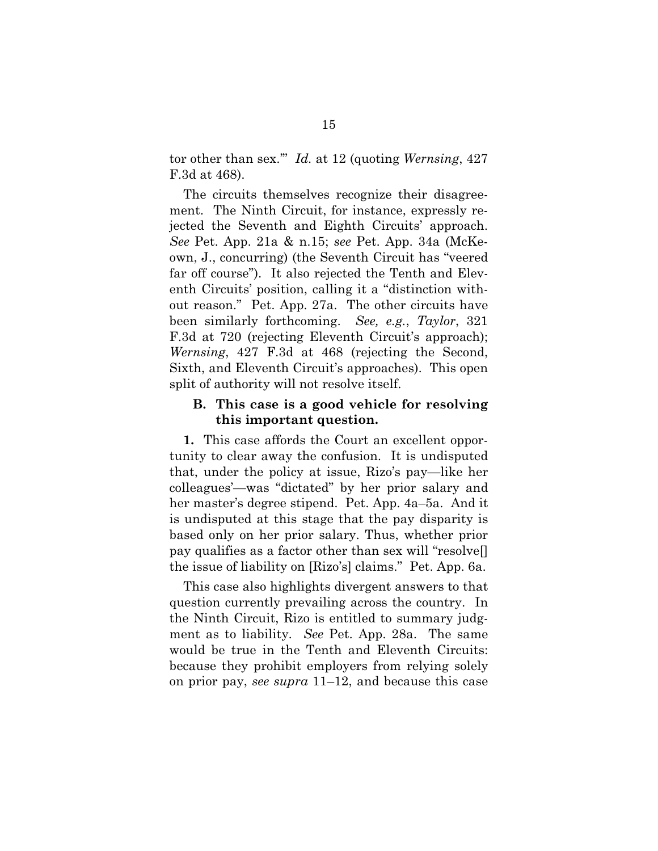tor other than sex.'" *Id.* at 12 (quoting *Wernsing*, 427 F.3d at 468).

The circuits themselves recognize their disagreement. The Ninth Circuit, for instance, expressly rejected the Seventh and Eighth Circuits' approach. *See* Pet. App. 21a & n.15; *see* Pet. App. 34a (McKeown, J., concurring) (the Seventh Circuit has "veered far off course"). It also rejected the Tenth and Eleventh Circuits' position, calling it a "distinction without reason." Pet. App. 27a. The other circuits have been similarly forthcoming. *See, e.g.*, *Taylor*, 321 F.3d at 720 (rejecting Eleventh Circuit's approach); *Wernsing*, 427 F.3d at 468 (rejecting the Second, Sixth, and Eleventh Circuit's approaches). This open split of authority will not resolve itself.

### <span id="page-24-0"></span>**B. This case is a good vehicle for resolving this important question.**

**1.** This case affords the Court an excellent opportunity to clear away the confusion. It is undisputed that, under the policy at issue, Rizo's pay—like her colleagues'—was "dictated" by her prior salary and her master's degree stipend. Pet. App. 4a–5a. And it is undisputed at this stage that the pay disparity is based only on her prior salary. Thus, whether prior pay qualifies as a factor other than sex will "resolve[] the issue of liability on [Rizo's] claims." Pet. App. 6a.

This case also highlights divergent answers to that question currently prevailing across the country. In the Ninth Circuit, Rizo is entitled to summary judgment as to liability. *See* Pet. App. 28a. The same would be true in the Tenth and Eleventh Circuits: because they prohibit employers from relying solely on prior pay, *see supra* 11–12, and because this case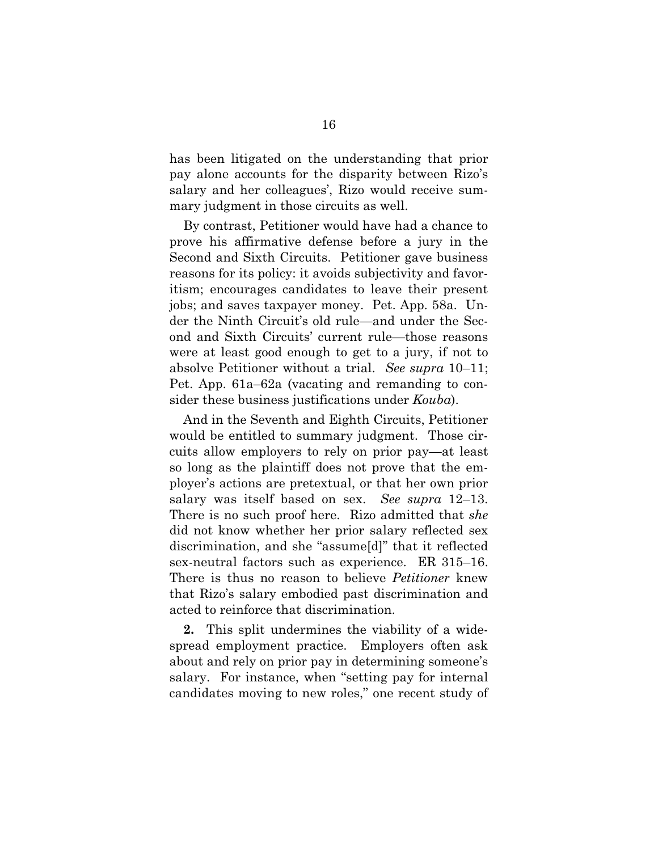has been litigated on the understanding that prior pay alone accounts for the disparity between Rizo's salary and her colleagues', Rizo would receive summary judgment in those circuits as well.

By contrast, Petitioner would have had a chance to prove his affirmative defense before a jury in the Second and Sixth Circuits. Petitioner gave business reasons for its policy: it avoids subjectivity and favoritism; encourages candidates to leave their present jobs; and saves taxpayer money. Pet. App. 58a. Under the Ninth Circuit's old rule—and under the Second and Sixth Circuits' current rule—those reasons were at least good enough to get to a jury, if not to absolve Petitioner without a trial. *See supra* 10–11; Pet. App. 61a–62a (vacating and remanding to consider these business justifications under *Kouba*).

And in the Seventh and Eighth Circuits, Petitioner would be entitled to summary judgment. Those circuits allow employers to rely on prior pay—at least so long as the plaintiff does not prove that the employer's actions are pretextual, or that her own prior salary was itself based on sex. *See supra* 12–13. There is no such proof here. Rizo admitted that *she*  did not know whether her prior salary reflected sex discrimination, and she "assume[d]" that it reflected sex-neutral factors such as experience. ER 315–16. There is thus no reason to believe *Petitioner* knew that Rizo's salary embodied past discrimination and acted to reinforce that discrimination.

**2.** This split undermines the viability of a widespread employment practice. Employers often ask about and rely on prior pay in determining someone's salary. For instance, when "setting pay for internal candidates moving to new roles," one recent study of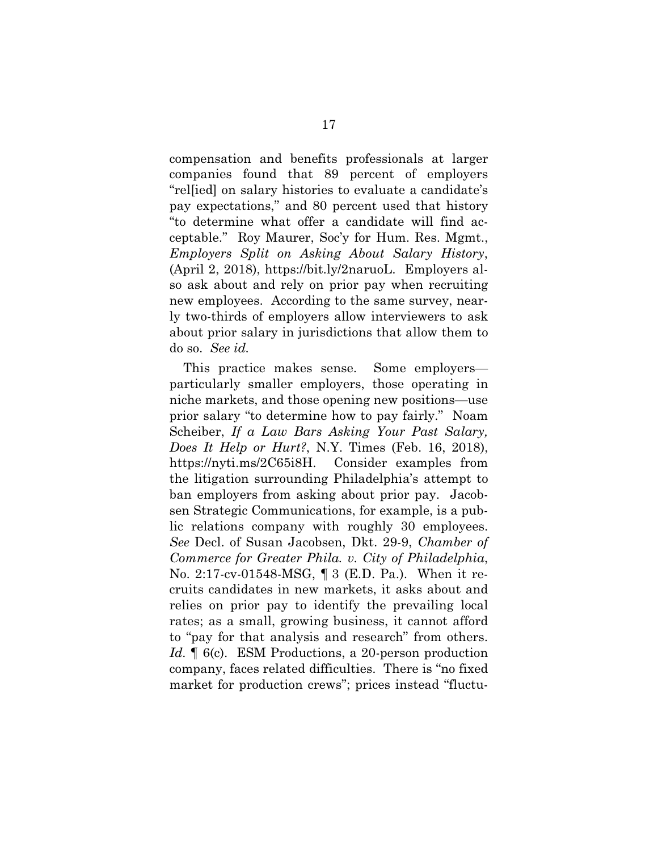<span id="page-26-0"></span>compensation and benefits professionals at larger companies found that 89 percent of employers "rel[ied] on salary histories to evaluate a candidate's pay expectations," and 80 percent used that history "to determine what offer a candidate will find acceptable." Roy Maurer, Soc'y for Hum. Res. Mgmt., *Employers Split on Asking About Salary History*, (April 2, 2018), https://bit.ly/2naruoL. Employers also ask about and rely on prior pay when recruiting new employees. According to the same survey, nearly two-thirds of employers allow interviewers to ask about prior salary in jurisdictions that allow them to do so. *See id.*

<span id="page-26-1"></span>This practice makes sense. Some employers particularly smaller employers, those operating in niche markets, and those opening new positions—use prior salary "to determine how to pay fairly." Noam Scheiber, *If a Law Bars Asking Your Past Salary, Does It Help or Hurt?*, N.Y. Times (Feb. 16, 2018), https://nyti.ms/2C65i8H. Consider examples from the litigation surrounding Philadelphia's attempt to ban employers from asking about prior pay. Jacobsen Strategic Communications, for example, is a public relations company with roughly 30 employees. *See* Decl. of Susan Jacobsen, Dkt. 29-9, *Chamber of Commerce for Greater Phila. v. City of Philadelphia*, No. 2:17-cv-01548-MSG, ¶ 3 (E.D. Pa.). When it recruits candidates in new markets, it asks about and relies on prior pay to identify the prevailing local rates; as a small, growing business, it cannot afford to "pay for that analysis and research" from others. *Id.* **[60]**. ESM Productions, a 20-person production company, faces related difficulties. There is "no fixed market for production crews"; prices instead "fluctu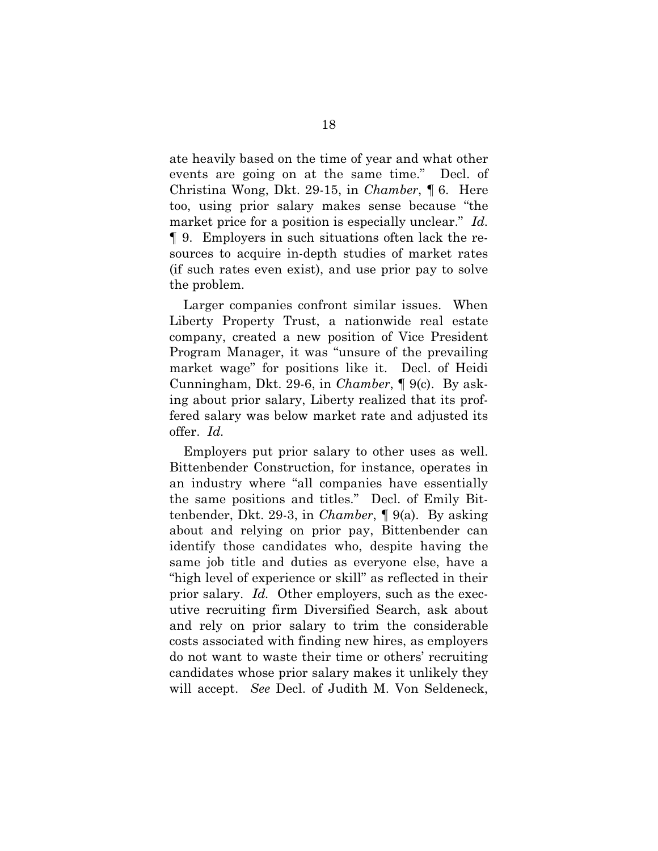ate heavily based on the time of year and what other events are going on at the same time." Decl. of Christina Wong, Dkt. 29-15, in *Chamber*, ¶ 6. Here too, using prior salary makes sense because "the market price for a position is especially unclear." *Id.* ¶ 9. Employers in such situations often lack the resources to acquire in-depth studies of market rates (if such rates even exist), and use prior pay to solve the problem.

Larger companies confront similar issues. When Liberty Property Trust, a nationwide real estate company, created a new position of Vice President Program Manager, it was "unsure of the prevailing market wage" for positions like it. Decl. of Heidi Cunningham, Dkt. 29-6, in *Chamber*, ¶ 9(c). By asking about prior salary, Liberty realized that its proffered salary was below market rate and adjusted its offer. *Id.*

Employers put prior salary to other uses as well. Bittenbender Construction, for instance, operates in an industry where "all companies have essentially the same positions and titles." Decl. of Emily Bittenbender, Dkt. 29-3, in *Chamber*, ¶ 9(a). By asking about and relying on prior pay, Bittenbender can identify those candidates who, despite having the same job title and duties as everyone else, have a "high level of experience or skill" as reflected in their prior salary. *Id.* Other employers, such as the executive recruiting firm Diversified Search, ask about and rely on prior salary to trim the considerable costs associated with finding new hires, as employers do not want to waste their time or others' recruiting candidates whose prior salary makes it unlikely they will accept. *See* Decl. of Judith M. Von Seldeneck,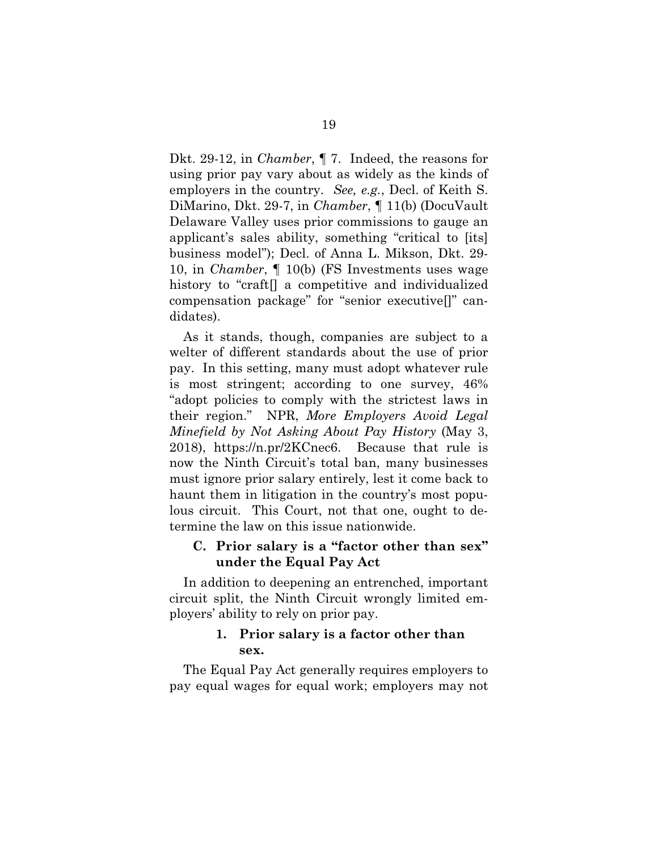Dkt. 29-12, in *Chamber*, ¶ 7. Indeed, the reasons for using prior pay vary about as widely as the kinds of employers in the country. *See, e.g.*, Decl. of Keith S. DiMarino, Dkt. 29-7, in *Chamber*, ¶ 11(b) (DocuVault Delaware Valley uses prior commissions to gauge an applicant's sales ability, something "critical to [its] business model"); Decl. of Anna L. Mikson, Dkt. 29- 10, in *Chamber*, ¶ 10(b) (FS Investments uses wage history to "craft<sup>[]</sup> a competitive and individualized compensation package" for "senior executive[]" candidates).

<span id="page-28-0"></span>As it stands, though, companies are subject to a welter of different standards about the use of prior pay. In this setting, many must adopt whatever rule is most stringent; according to one survey, 46% "adopt policies to comply with the strictest laws in their region." NPR, *More Employers Avoid Legal Minefield by Not Asking About Pay History* (May 3, 2018), https://n.pr/2KCnec6. Because that rule is now the Ninth Circuit's total ban, many businesses must ignore prior salary entirely, lest it come back to haunt them in litigation in the country's most populous circuit. This Court, not that one, ought to determine the law on this issue nationwide.

# **C. Prior salary is a "factor other than sex" under the Equal Pay Act**

In addition to deepening an entrenched, important circuit split, the Ninth Circuit wrongly limited employers' ability to rely on prior pay.

## **1. Prior salary is a factor other than sex.**

The Equal Pay Act generally requires employers to pay equal wages for equal work; employers may not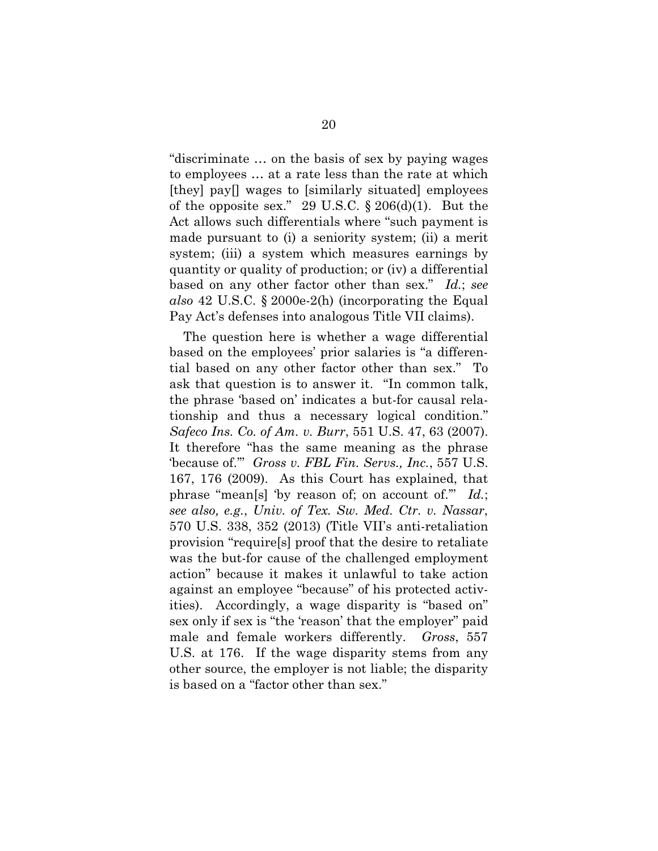"discriminate … on the basis of sex by paying wages to employees … at a rate less than the rate at which [they] pay[] wages to [similarly situated] employees of the opposite sex." 29 U.S.C.  $\S 206(d)(1)$ . But the Act allows such differentials where "such payment is made pursuant to (i) a seniority system; (ii) a merit system; (iii) a system which measures earnings by quantity or quality of production; or (iv) a differential based on any other factor other than sex." *Id.*; *see also* 42 U.S.C. § 2000e-2(h) (incorporating the Equal Pay Act's defenses into analogous Title VII claims).

<span id="page-29-3"></span><span id="page-29-2"></span><span id="page-29-1"></span><span id="page-29-0"></span>The question here is whether a wage differential based on the employees' prior salaries is "a differential based on any other factor other than sex." To ask that question is to answer it. "In common talk, the phrase 'based on' indicates a but-for causal relationship and thus a necessary logical condition." *Safeco Ins. Co. of Am. v. Burr*, 551 U.S. 47, 63 (2007). It therefore "has the same meaning as the phrase 'because of.'" *Gross v. FBL Fin. Servs., Inc.*, 557 U.S. 167, 176 (2009). As this Court has explained, that phrase "mean[s] 'by reason of; on account of.'" *Id.*; *see also, e.g.*, *Univ. of Tex. Sw. Med. Ctr. v. Nassar*, 570 U.S. 338, 352 (2013) (Title VII's anti-retaliation provision "require[s] proof that the desire to retaliate was the but-for cause of the challenged employment action" because it makes it unlawful to take action against an employee "because" of his protected activities). Accordingly, a wage disparity is "based on" sex only if sex is "the 'reason' that the employer" paid male and female workers differently. *Gross*, 557 U.S. at 176. If the wage disparity stems from any other source, the employer is not liable; the disparity is based on a "factor other than sex."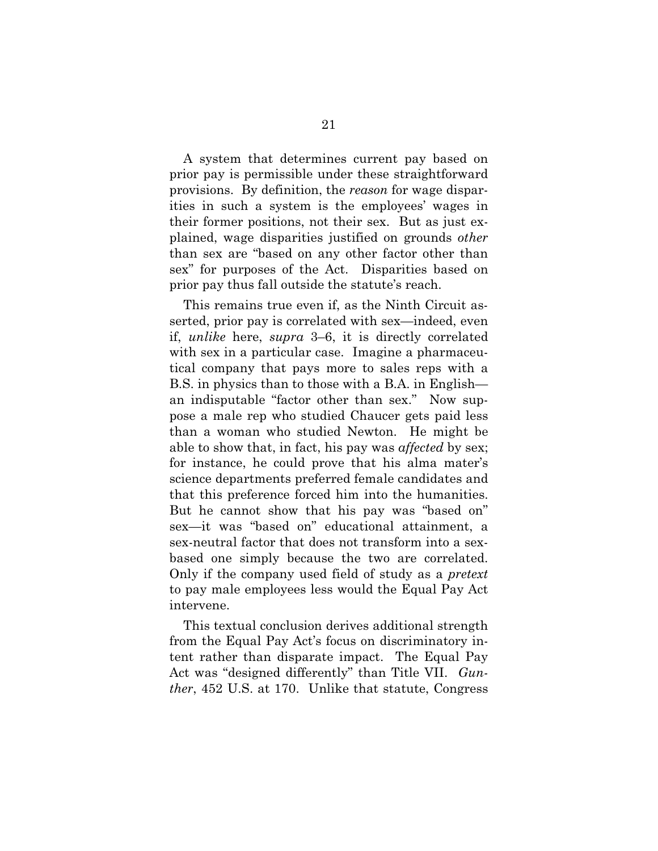A system that determines current pay based on prior pay is permissible under these straightforward provisions. By definition, the *reason* for wage disparities in such a system is the employees' wages in their former positions, not their sex. But as just explained, wage disparities justified on grounds *other* than sex are "based on any other factor other than sex" for purposes of the Act. Disparities based on prior pay thus fall outside the statute's reach.

This remains true even if, as the Ninth Circuit asserted, prior pay is correlated with sex—indeed, even if, *unlike* here, *supra* 3–6, it is directly correlated with sex in a particular case. Imagine a pharmaceutical company that pays more to sales reps with a B.S. in physics than to those with a B.A. in English an indisputable "factor other than sex." Now suppose a male rep who studied Chaucer gets paid less than a woman who studied Newton. He might be able to show that, in fact, his pay was *affected* by sex; for instance, he could prove that his alma mater's science departments preferred female candidates and that this preference forced him into the humanities. But he cannot show that his pay was "based on" sex—it was "based on" educational attainment, a sex-neutral factor that does not transform into a sexbased one simply because the two are correlated. Only if the company used field of study as a *pretext* to pay male employees less would the Equal Pay Act intervene.

<span id="page-30-0"></span>This textual conclusion derives additional strength from the Equal Pay Act's focus on discriminatory intent rather than disparate impact. The Equal Pay Act was "designed differently" than Title VII. *Gunther*, 452 U.S. at 170. Unlike that statute, Congress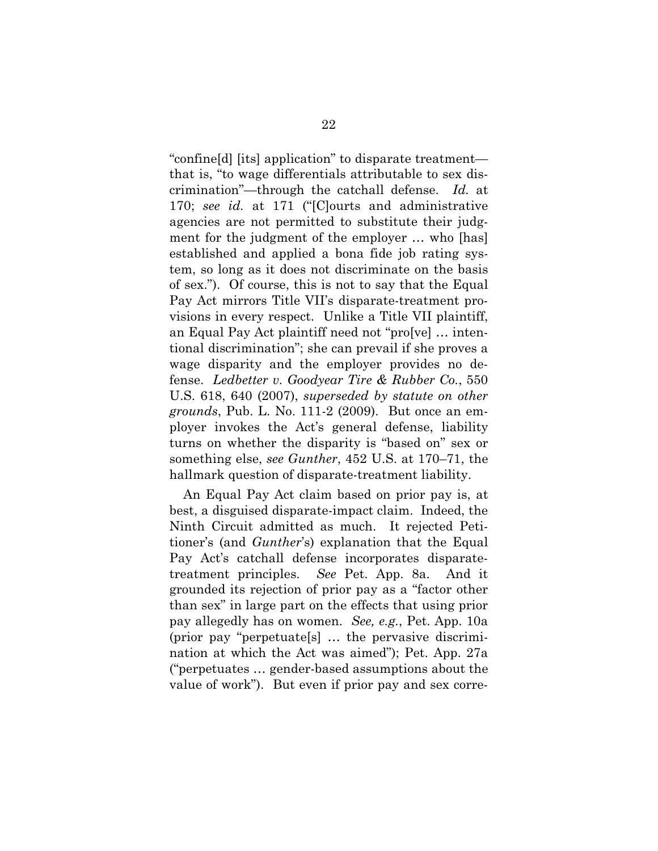<span id="page-31-1"></span>"confine[d] [its] application" to disparate treatment that is, "to wage differentials attributable to sex discrimination"—through the catchall defense. *Id.* at 170; *see id.* at 171 ("[C]ourts and administrative agencies are not permitted to substitute their judgment for the judgment of the employer … who [has] established and applied a bona fide job rating system, so long as it does not discriminate on the basis of sex."). Of course, this is not to say that the Equal Pay Act mirrors Title VII's disparate-treatment provisions in every respect. Unlike a Title VII plaintiff, an Equal Pay Act plaintiff need not "pro[ve] … intentional discrimination"; she can prevail if she proves a wage disparity and the employer provides no defense. *Ledbetter v. Goodyear Tire & Rubber Co.*, 550 U.S. 618, 640 (2007), *superseded by statute on other grounds*, Pub. L. No. 111-2 (2009). But once an employer invokes the Act's general defense, liability turns on whether the disparity is "based on" sex or something else, *see Gunther*, 452 U.S. at 170–71, the hallmark question of disparate-treatment liability.

<span id="page-31-0"></span>An Equal Pay Act claim based on prior pay is, at best, a disguised disparate-impact claim. Indeed, the Ninth Circuit admitted as much. It rejected Petitioner's (and *Gunther*'s) explanation that the Equal Pay Act's catchall defense incorporates disparatetreatment principles. *See* Pet. App. 8a. And it grounded its rejection of prior pay as a "factor other than sex" in large part on the effects that using prior pay allegedly has on women. *See, e.g.*, Pet. App. 10a (prior pay "perpetuate[s] … the pervasive discrimination at which the Act was aimed"); Pet. App. 27a ("perpetuates … gender-based assumptions about the value of work"). But even if prior pay and sex corre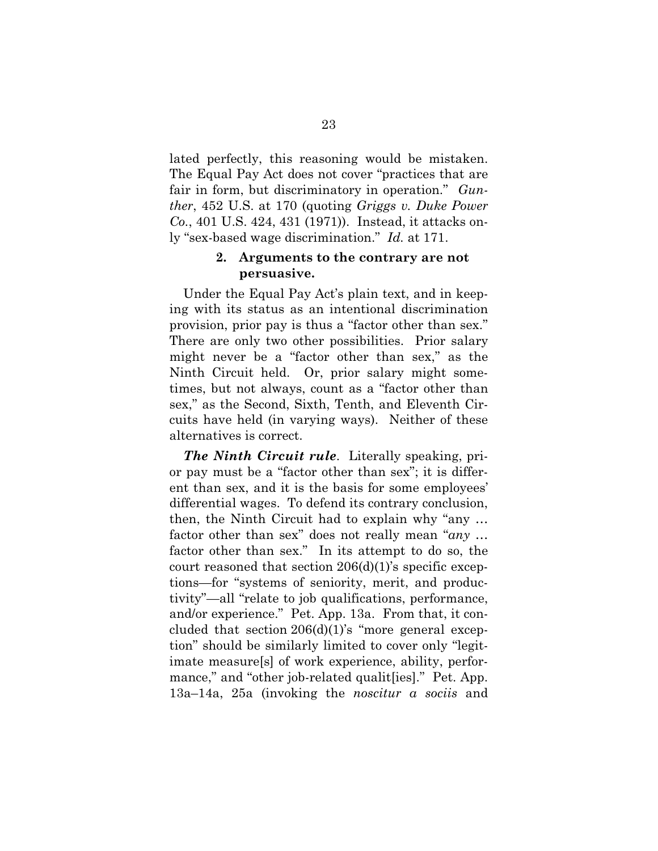lated perfectly, this reasoning would be mistaken. The Equal Pay Act does not cover "practices that are fair in form, but discriminatory in operation." *Gunther*, 452 U.S. at 170 (quoting *Griggs v. Duke Power Co.*, 401 U.S. 424, 431 (1971)). Instead, it attacks only "sex-based wage discrimination." *Id.* at 171.

## <span id="page-32-0"></span>**2. Arguments to the contrary are not persuasive.**

Under the Equal Pay Act's plain text, and in keeping with its status as an intentional discrimination provision, prior pay is thus a "factor other than sex." There are only two other possibilities. Prior salary might never be a "factor other than sex," as the Ninth Circuit held. Or, prior salary might sometimes, but not always, count as a "factor other than sex," as the Second, Sixth, Tenth, and Eleventh Circuits have held (in varying ways). Neither of these alternatives is correct.

*The Ninth Circuit rule*. Literally speaking, prior pay must be a "factor other than sex"; it is different than sex, and it is the basis for some employees' differential wages. To defend its contrary conclusion, then, the Ninth Circuit had to explain why "any … factor other than sex" does not really mean "*any* … factor other than sex." In its attempt to do so, the court reasoned that section 206(d)(1)'s specific exceptions—for "systems of seniority, merit, and productivity"—all "relate to job qualifications, performance, and/or experience." Pet. App. 13a. From that, it concluded that section  $206(d)(1)$ 's "more general exception" should be similarly limited to cover only "legitimate measure[s] of work experience, ability, performance," and "other job-related qualiterial." Pet. App. 13a–14a, 25a (invoking the *noscitur a sociis* and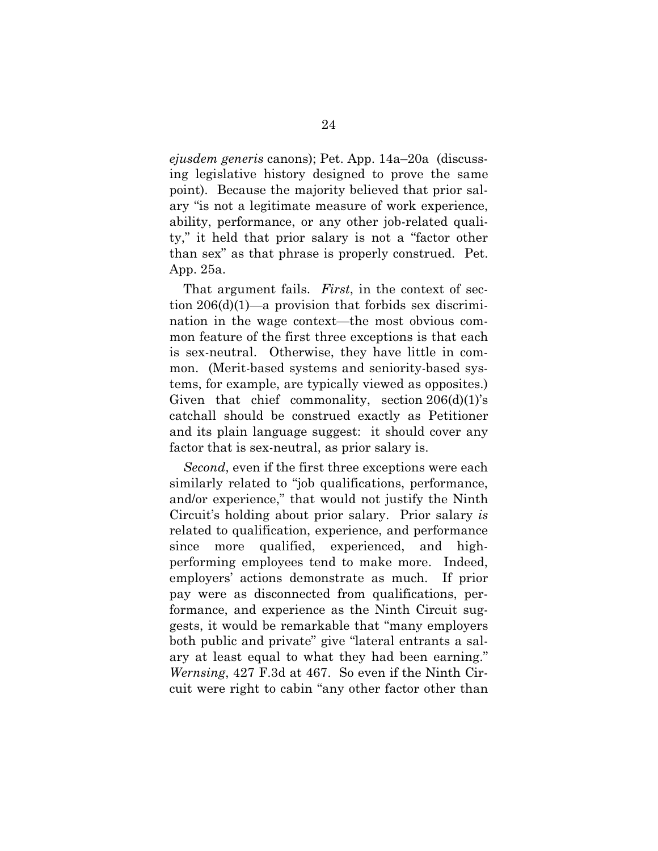*ejusdem generis* canons); Pet. App. 14a–20a (discussing legislative history designed to prove the same point). Because the majority believed that prior salary "is not a legitimate measure of work experience, ability, performance, or any other job-related quality," it held that prior salary is not a "factor other than sex" as that phrase is properly construed. Pet. App. 25a.

That argument fails. *First*, in the context of section  $206(d)(1)$ —a provision that forbids sex discrimination in the wage context—the most obvious common feature of the first three exceptions is that each is sex-neutral. Otherwise, they have little in common. (Merit-based systems and seniority-based systems, for example, are typically viewed as opposites.) Given that chief commonality, section  $206(d)(1)$ 's catchall should be construed exactly as Petitioner and its plain language suggest: it should cover any factor that is sex-neutral, as prior salary is.

*Second*, even if the first three exceptions were each similarly related to "job qualifications, performance, and/or experience," that would not justify the Ninth Circuit's holding about prior salary. Prior salary *is* related to qualification, experience, and performance since more qualified, experienced, and highperforming employees tend to make more. Indeed, employers' actions demonstrate as much. If prior pay were as disconnected from qualifications, performance, and experience as the Ninth Circuit suggests, it would be remarkable that "many employers both public and private" give "lateral entrants a salary at least equal to what they had been earning." *Wernsing*, 427 F.3d at 467. So even if the Ninth Circuit were right to cabin "any other factor other than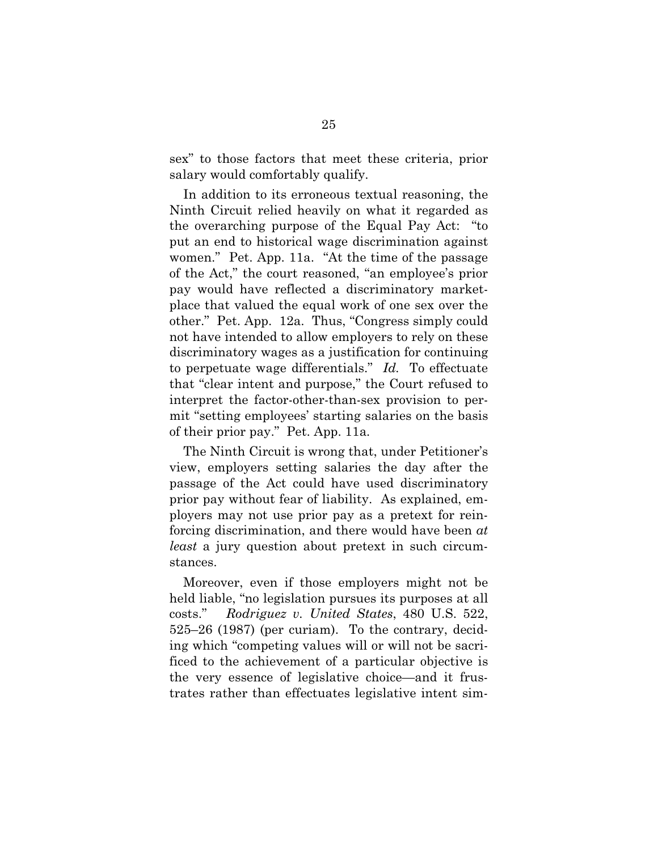sex" to those factors that meet these criteria, prior salary would comfortably qualify.

In addition to its erroneous textual reasoning, the Ninth Circuit relied heavily on what it regarded as the overarching purpose of the Equal Pay Act: "to put an end to historical wage discrimination against women." Pet. App. 11a. "At the time of the passage of the Act," the court reasoned, "an employee's prior pay would have reflected a discriminatory marketplace that valued the equal work of one sex over the other." Pet. App. 12a. Thus, "Congress simply could not have intended to allow employers to rely on these discriminatory wages as a justification for continuing to perpetuate wage differentials." *Id.* To effectuate that "clear intent and purpose," the Court refused to interpret the factor-other-than-sex provision to permit "setting employees' starting salaries on the basis of their prior pay." Pet. App. 11a*.*

The Ninth Circuit is wrong that, under Petitioner's view, employers setting salaries the day after the passage of the Act could have used discriminatory prior pay without fear of liability. As explained, employers may not use prior pay as a pretext for reinforcing discrimination, and there would have been *at least* a jury question about pretext in such circumstances.

<span id="page-34-0"></span>Moreover, even if those employers might not be held liable, "no legislation pursues its purposes at all costs." *Rodriguez v. United States*, 480 U.S. 522, 525–26 (1987) (per curiam). To the contrary, deciding which "competing values will or will not be sacrificed to the achievement of a particular objective is the very essence of legislative choice—and it frustrates rather than effectuates legislative intent sim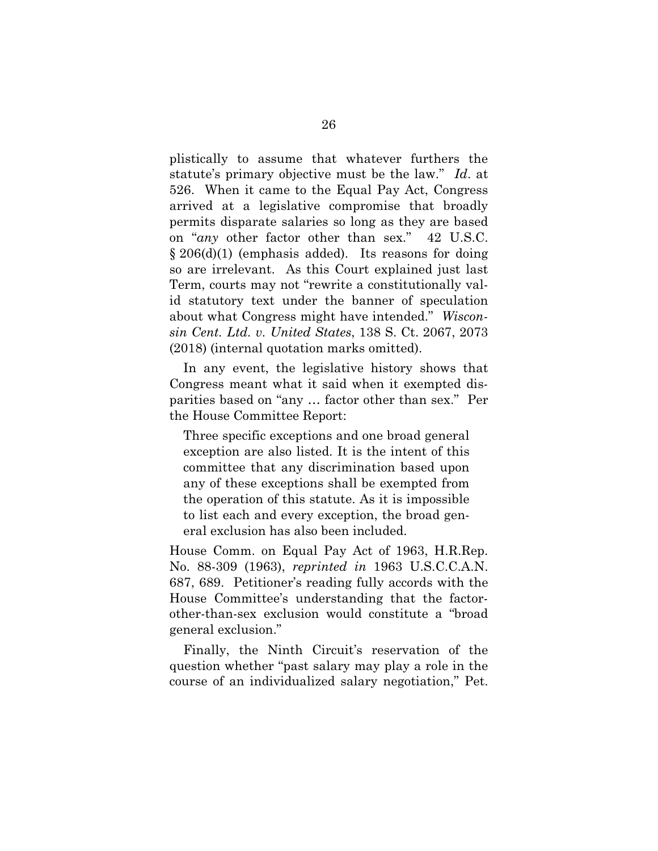<span id="page-35-0"></span>plistically to assume that whatever furthers the statute's primary objective must be the law." *Id*. at 526. When it came to the Equal Pay Act, Congress arrived at a legislative compromise that broadly permits disparate salaries so long as they are based on "*any* other factor other than sex." 42 U.S.C.  $\S 206(d)(1)$  (emphasis added). Its reasons for doing so are irrelevant. As this Court explained just last Term, courts may not "rewrite a constitutionally valid statutory text under the banner of speculation about what Congress might have intended." *Wisconsin Cent. Ltd. v. United States*, 138 S. Ct. 2067, 2073 (2018) (internal quotation marks omitted).

<span id="page-35-1"></span>In any event, the legislative history shows that Congress meant what it said when it exempted disparities based on "any … factor other than sex." Per the House Committee Report:

Three specific exceptions and one broad general exception are also listed. It is the intent of this committee that any discrimination based upon any of these exceptions shall be exempted from the operation of this statute. As it is impossible to list each and every exception, the broad general exclusion has also been included.

<span id="page-35-2"></span>House Comm. on Equal Pay Act of 1963, H.R.Rep. No. 88-309 (1963), *reprinted in* 1963 U.S.C.C.A.N. 687, 689. Petitioner's reading fully accords with the House Committee's understanding that the factorother-than-sex exclusion would constitute a "broad general exclusion."

Finally, the Ninth Circuit's reservation of the question whether "past salary may play a role in the course of an individualized salary negotiation," Pet.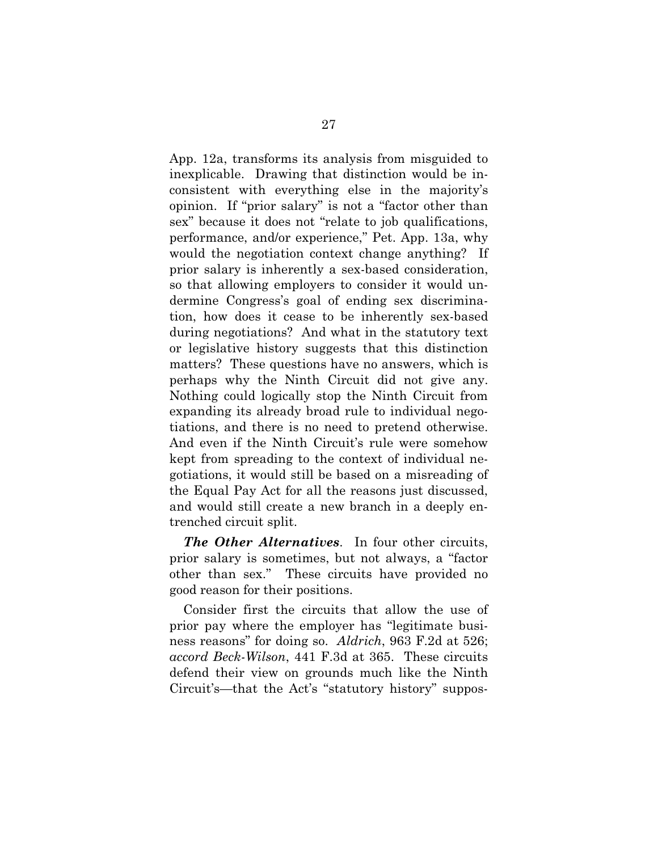App. 12a, transforms its analysis from misguided to inexplicable. Drawing that distinction would be inconsistent with everything else in the majority's opinion. If "prior salary" is not a "factor other than sex" because it does not "relate to job qualifications, performance, and/or experience," Pet. App. 13a, why would the negotiation context change anything? If prior salary is inherently a sex-based consideration, so that allowing employers to consider it would undermine Congress's goal of ending sex discrimination, how does it cease to be inherently sex-based during negotiations? And what in the statutory text or legislative history suggests that this distinction matters? These questions have no answers, which is perhaps why the Ninth Circuit did not give any. Nothing could logically stop the Ninth Circuit from expanding its already broad rule to individual negotiations, and there is no need to pretend otherwise. And even if the Ninth Circuit's rule were somehow kept from spreading to the context of individual negotiations, it would still be based on a misreading of the Equal Pay Act for all the reasons just discussed, and would still create a new branch in a deeply entrenched circuit split.

*The Other Alternatives*. In four other circuits, prior salary is sometimes, but not always, a "factor other than sex." These circuits have provided no good reason for their positions.

<span id="page-36-1"></span><span id="page-36-0"></span>Consider first the circuits that allow the use of prior pay where the employer has "legitimate business reasons" for doing so. *Aldrich*, 963 F.2d at 526; *accord Beck-Wilson*, 441 F.3d at 365. These circuits defend their view on grounds much like the Ninth Circuit's—that the Act's "statutory history" suppos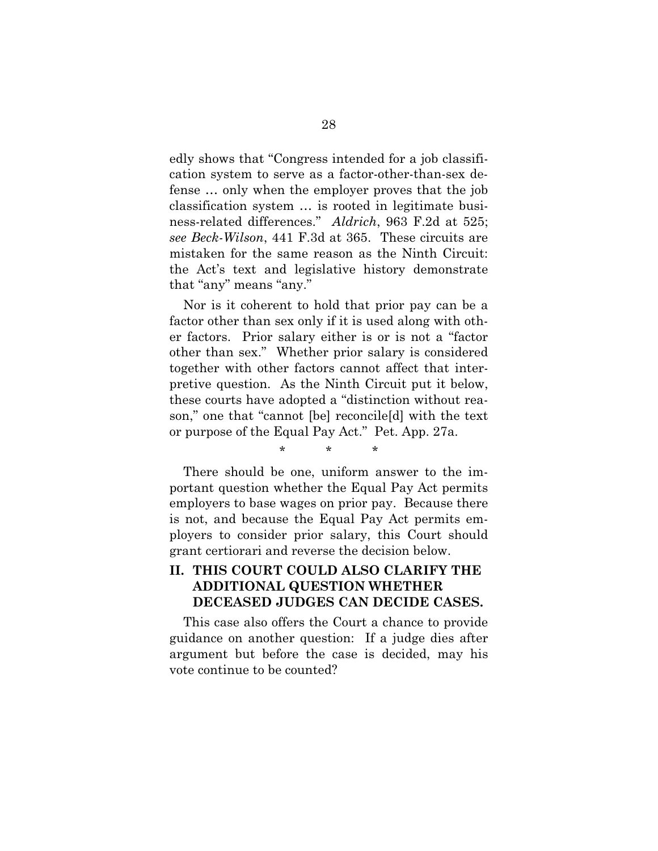<span id="page-37-0"></span>edly shows that "Congress intended for a job classification system to serve as a factor-other-than-sex defense … only when the employer proves that the job classification system … is rooted in legitimate business-related differences." *Aldrich*, 963 F.2d at 525; *see Beck-Wilson*, 441 F.3d at 365. These circuits are mistaken for the same reason as the Ninth Circuit: the Act's text and legislative history demonstrate that "any" means "any."

<span id="page-37-1"></span>Nor is it coherent to hold that prior pay can be a factor other than sex only if it is used along with other factors. Prior salary either is or is not a "factor other than sex." Whether prior salary is considered together with other factors cannot affect that interpretive question. As the Ninth Circuit put it below, these courts have adopted a "distinction without reason," one that "cannot [be] reconcile[d] with the text or purpose of the Equal Pay Act." Pet. App. 27a.

\* \* \*

There should be one, uniform answer to the important question whether the Equal Pay Act permits employers to base wages on prior pay. Because there is not, and because the Equal Pay Act permits employers to consider prior salary, this Court should grant certiorari and reverse the decision below.

# **II. THIS COURT COULD ALSO CLARIFY THE ADDITIONAL QUESTION WHETHER DECEASED JUDGES CAN DECIDE CASES.**

This case also offers the Court a chance to provide guidance on another question: If a judge dies after argument but before the case is decided, may his vote continue to be counted?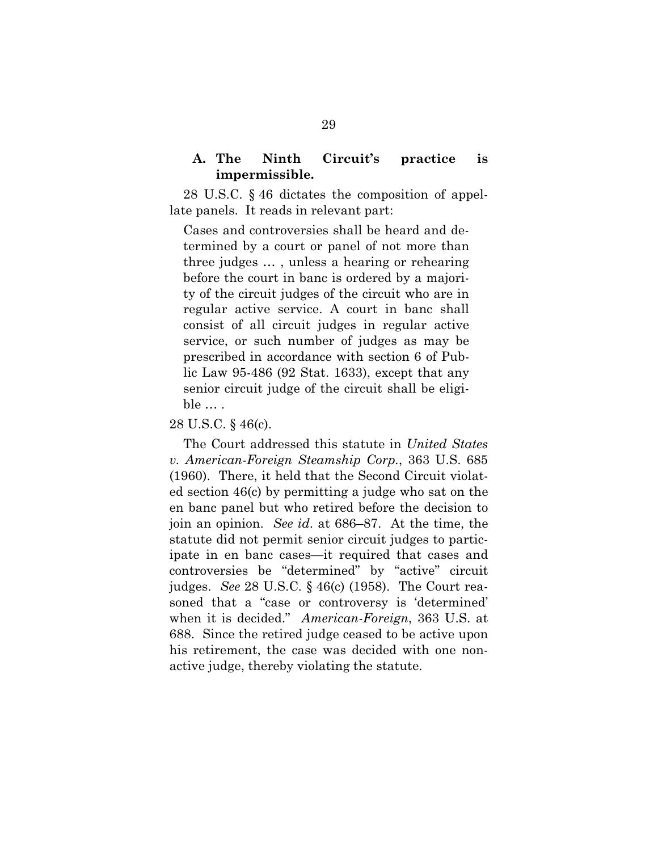## **A. The Ninth Circuit's practice is impermissible.**

<span id="page-38-1"></span>28 U.S.C. § 46 dictates the composition of appellate panels. It reads in relevant part:

Cases and controversies shall be heard and determined by a court or panel of not more than three judges … , unless a hearing or rehearing before the court in banc is ordered by a majority of the circuit judges of the circuit who are in regular active service. A court in banc shall consist of all circuit judges in regular active service, or such number of judges as may be prescribed in accordance with section 6 of Public Law 95-486 (92 Stat. 1633), except that any senior circuit judge of the circuit shall be eligible … .

#### 28 U.S.C. § 46(c).

<span id="page-38-0"></span>The Court addressed this statute in *United States v. American-Foreign Steamship Corp.*, 363 U.S. 685 (1960). There, it held that the Second Circuit violated section 46(c) by permitting a judge who sat on the en banc panel but who retired before the decision to join an opinion. *See id*. at 686–87. At the time, the statute did not permit senior circuit judges to participate in en banc cases—it required that cases and controversies be "determined" by "active" circuit judges. *See* 28 U.S.C. § 46(c) (1958). The Court reasoned that a "case or controversy is 'determined' when it is decided." *American-Foreign*, 363 U.S. at 688. Since the retired judge ceased to be active upon his retirement, the case was decided with one nonactive judge, thereby violating the statute.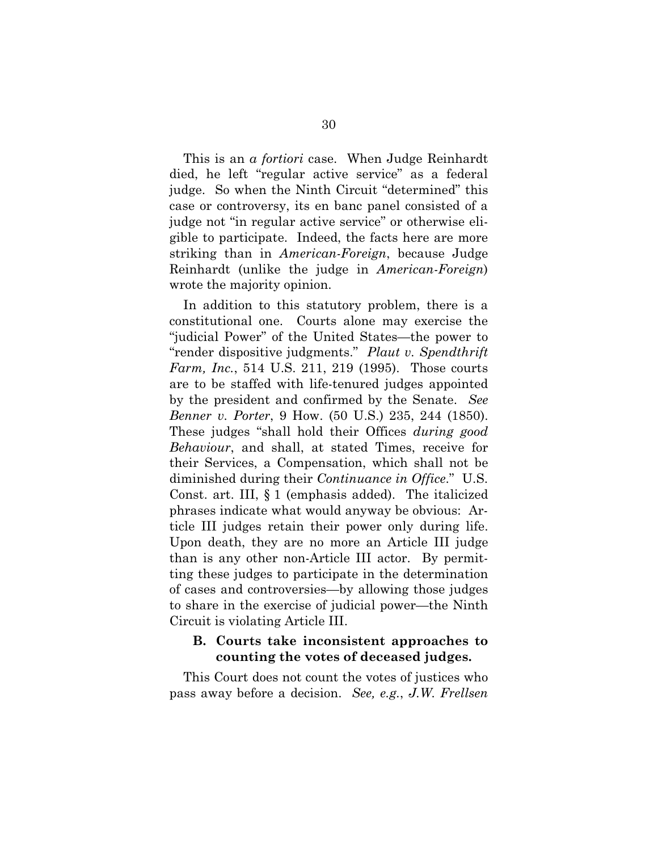This is an *a fortiori* case. When Judge Reinhardt died, he left "regular active service" as a federal judge. So when the Ninth Circuit "determined" this case or controversy, its en banc panel consisted of a judge not "in regular active service" or otherwise eligible to participate. Indeed, the facts here are more striking than in *American-Foreign*, because Judge Reinhardt (unlike the judge in *American-Foreign*) wrote the majority opinion.

<span id="page-39-3"></span><span id="page-39-2"></span><span id="page-39-0"></span>In addition to this statutory problem, there is a constitutional one. Courts alone may exercise the "judicial Power" of the United States—the power to "render dispositive judgments." *Plaut v. Spendthrift Farm, Inc.*, 514 U.S. 211, 219 (1995). Those courts are to be staffed with life-tenured judges appointed by the president and confirmed by the Senate. *See Benner v. Porter*, 9 How. (50 U.S.) 235, 244 (1850). These judges "shall hold their Offices *during good Behaviour*, and shall, at stated Times, receive for their Services, a Compensation, which shall not be diminished during their *Continuance in Office*." U.S. Const. art. III, § 1 (emphasis added). The italicized phrases indicate what would anyway be obvious: Article III judges retain their power only during life. Upon death, they are no more an Article III judge than is any other non-Article III actor. By permitting these judges to participate in the determination of cases and controversies—by allowing those judges to share in the exercise of judicial power—the Ninth Circuit is violating Article III.

## <span id="page-39-4"></span><span id="page-39-1"></span>**B. Courts take inconsistent approaches to counting the votes of deceased judges.**

This Court does not count the votes of justices who pass away before a decision. *See, e.g.*, *J.W. Frellsen*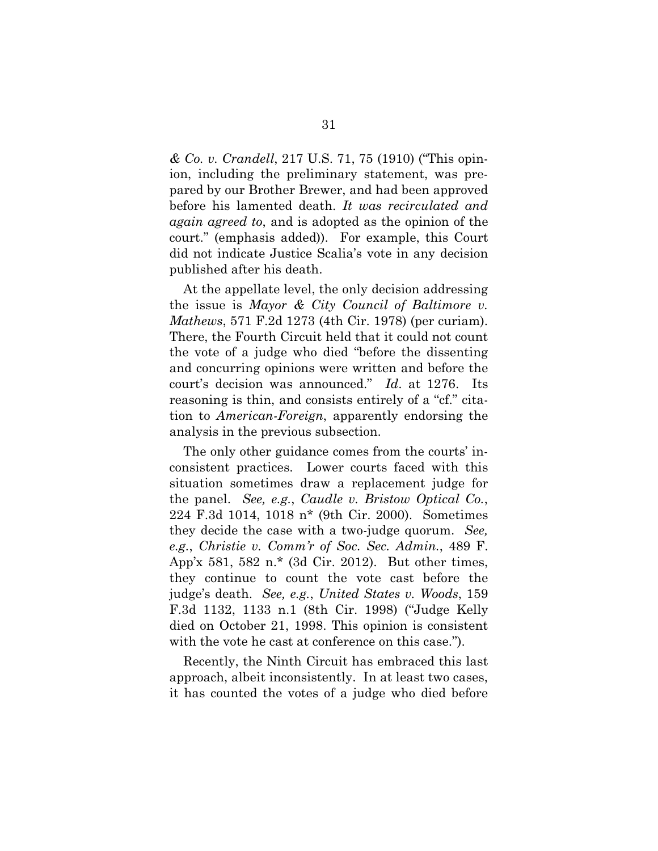*& Co. v. Crandell*, 217 U.S. 71, 75 (1910) ("This opinion, including the preliminary statement, was prepared by our Brother Brewer, and had been approved before his lamented death. *It was recirculated and again agreed to*, and is adopted as the opinion of the court." (emphasis added)). For example, this Court did not indicate Justice Scalia's vote in any decision published after his death.

<span id="page-40-2"></span>At the appellate level, the only decision addressing the issue is *Mayor & City Council of Baltimore v. Mathews*, 571 F.2d 1273 (4th Cir. 1978) (per curiam). There, the Fourth Circuit held that it could not count the vote of a judge who died "before the dissenting and concurring opinions were written and before the court's decision was announced." *Id*. at 1276. Its reasoning is thin, and consists entirely of a "cf." citation to *American-Foreign*, apparently endorsing the analysis in the previous subsection.

<span id="page-40-3"></span><span id="page-40-1"></span><span id="page-40-0"></span>The only other guidance comes from the courts' inconsistent practices. Lower courts faced with this situation sometimes draw a replacement judge for the panel. *See, e.g.*, *Caudle v. Bristow Optical Co.*, 224 F.3d 1014, 1018 n\* (9th Cir. 2000). Sometimes they decide the case with a two-judge quorum. *See, e.g.*, *Christie v. Comm'r of Soc. Sec. Admin.*, 489 F. App'x 581, 582 n.\* (3d Cir. 2012). But other times, they continue to count the vote cast before the judge's death. *See, e.g.*, *United States v. Woods*, 159 F.3d 1132, 1133 n.1 (8th Cir. 1998) ("Judge Kelly died on October 21, 1998. This opinion is consistent with the vote he cast at conference on this case.").

<span id="page-40-4"></span>Recently, the Ninth Circuit has embraced this last approach, albeit inconsistently. In at least two cases, it has counted the votes of a judge who died before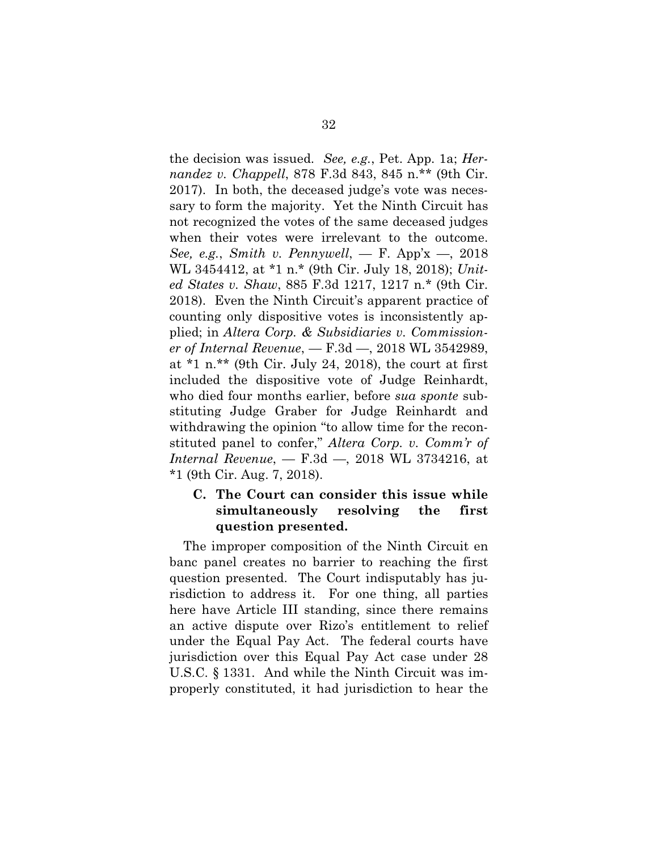<span id="page-41-4"></span><span id="page-41-3"></span><span id="page-41-2"></span>the decision was issued. *See, e.g.*, Pet. App. 1a; *Hernandez v. Chappell*, 878 F.3d 843, 845 n.\*\* (9th Cir. 2017). In both, the deceased judge's vote was necessary to form the majority. Yet the Ninth Circuit has not recognized the votes of the same deceased judges when their votes were irrelevant to the outcome. *See, e.g.*, *Smith v. Pennywell*, — F. App'x —, 2018 WL 3454412, at \*1 n.\* (9th Cir. July 18, 2018); *United States v. Shaw*, 885 F.3d 1217, 1217 n.\* (9th Cir. 2018). Even the Ninth Circuit's apparent practice of counting only dispositive votes is inconsistently applied; in *Altera Corp. & Subsidiaries v. Commissioner of Internal Revenue*, — F.3d —, 2018 WL 3542989, at  $*1$  n.\*\* (9th Cir. July 24, 2018), the court at first included the dispositive vote of Judge Reinhardt, who died four months earlier, before *sua sponte* substituting Judge Graber for Judge Reinhardt and withdrawing the opinion "to allow time for the reconstituted panel to confer," *Altera Corp. v. Comm'r of Internal Revenue*, — F.3d —, 2018 WL 3734216, at \*1 (9th Cir. Aug. 7, 2018).

# <span id="page-41-5"></span><span id="page-41-1"></span><span id="page-41-0"></span>**C. The Court can consider this issue while simultaneously resolving the first question presented.**

The improper composition of the Ninth Circuit en banc panel creates no barrier to reaching the first question presented. The Court indisputably has jurisdiction to address it. For one thing, all parties here have Article III standing, since there remains an active dispute over Rizo's entitlement to relief under the Equal Pay Act. The federal courts have jurisdiction over this Equal Pay Act case under 28 U.S.C. § 1331. And while the Ninth Circuit was improperly constituted, it had jurisdiction to hear the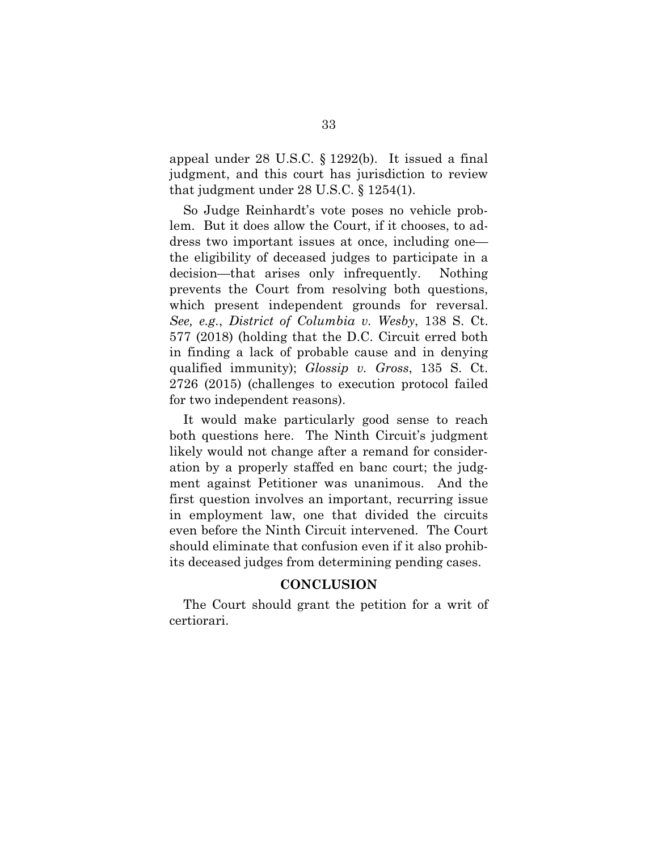<span id="page-42-3"></span>appeal under 28 U.S.C. § 1292(b). It issued a final judgment, and this court has jurisdiction to review that judgment under 28 U.S.C. § 1254(1).

<span id="page-42-2"></span>So Judge Reinhardt's vote poses no vehicle problem. But it does allow the Court, if it chooses, to address two important issues at once, including one the eligibility of deceased judges to participate in a decision—that arises only infrequently. Nothing prevents the Court from resolving both questions, which present independent grounds for reversal. *See, e.g.*, *District of Columbia v. Wesby*, 138 S. Ct. 577 (2018) (holding that the D.C. Circuit erred both in finding a lack of probable cause and in denying qualified immunity); *Glossip v. Gross*, 135 S. Ct. 2726 (2015) (challenges to execution protocol failed for two independent reasons).

<span id="page-42-1"></span><span id="page-42-0"></span>It would make particularly good sense to reach both questions here. The Ninth Circuit's judgment likely would not change after a remand for consideration by a properly staffed en banc court; the judgment against Petitioner was unanimous. And the first question involves an important, recurring issue in employment law, one that divided the circuits even before the Ninth Circuit intervened. The Court should eliminate that confusion even if it also prohibits deceased judges from determining pending cases.

### **CONCLUSION**

The Court should grant the petition for a writ of certiorari.